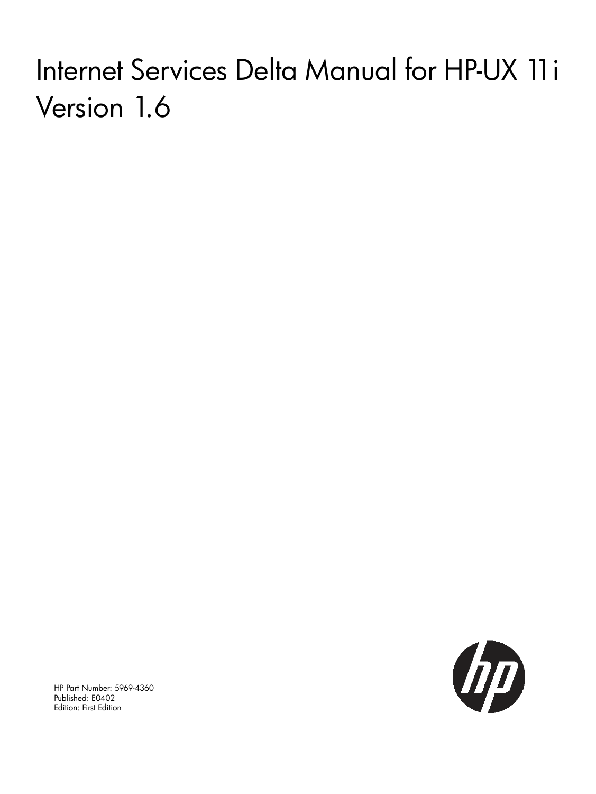# Internet Services Delta Manual for HP-UX 11i Version 1.6



HP Part Number: 5969-4360 Published: E0402 Edition: First Edition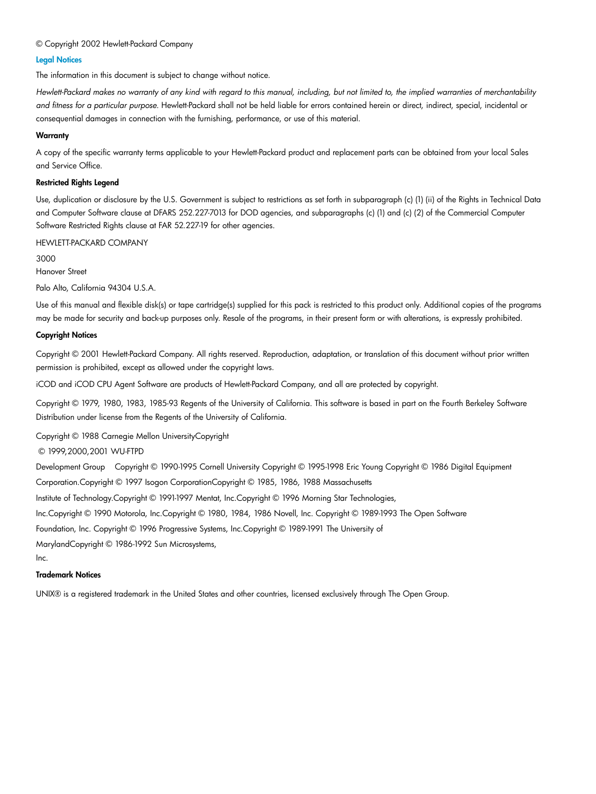#### © Copyright 2002 Hewlett-Packard Company

#### Legal Notices

The information in this document is subject to change without notice.

Hewlett-Packard makes no warranty of any kind with regard to this manual, including, but not limited to, the implied warranties of merchantability *and fitness for a particular purpose.* Hewlett-Packard shall not be held liable for errors contained herein or direct, indirect, special, incidental or consequential damages in connection with the furnishing, performance, or use of this material.

#### **Warranty**

A copy of the specific warranty terms applicable to your Hewlett-Packard product and replacement parts can be obtained from your local Sales and Service Office.

#### Restricted Rights Legend

Use, duplication or disclosure by the U.S. Government is subject to restrictions as set forth in subparagraph (c) (1) (ii) of the Rights in Technical Data and Computer Software clause at DFARS 252.227-7013 for DOD agencies, and subparagraphs (c) (1) and (c) (2) of the Commercial Computer Software Restricted Rights clause at FAR 52.227-19 for other agencies.

HEWLETT-PACKARD COMPANY

3000

Hanover Street

Palo Alto, California 94304 U.S.A.

Use of this manual and flexible disk(s) or tape cartridge(s) supplied for this pack is restricted to this product only. Additional copies of the programs may be made for security and back-up purposes only. Resale of the programs, in their present form or with alterations, is expressly prohibited.

#### Copyright Notices

Copyright © 2001 Hewlett-Packard Company. All rights reserved. Reproduction, adaptation, or translation of this document without prior written permission is prohibited, except as allowed under the copyright laws.

iCOD and iCOD CPU Agent Software are products of Hewlett-Packard Company, and all are protected by copyright.

Copyright © 1979, 1980, 1983, 1985-93 Regents of the University of California. This software is based in part on the Fourth Berkeley Software Distribution under license from the Regents of the University of California.

Copyright © 1988 Carnegie Mellon UniversityCopyright

© 1999,2000,2001 WU-FTPD

Development Group Copyright © 1990-1995 Cornell University Copyright © 1995-1998 Eric Young Copyright © 1986 Digital Equipment Corporation.Copyright © 1997 Isogon CorporationCopyright © 1985, 1986, 1988 Massachusetts

Institute of Technology.Copyright © 1991-1997 Mentat, Inc.Copyright © 1996 Morning Star Technologies,

Inc.Copyright © 1990 Motorola, Inc.Copyright © 1980, 1984, 1986 Novell, Inc. Copyright © 1989-1993 The Open Software

Foundation, Inc. Copyright © 1996 Progressive Systems, Inc.Copyright © 1989-1991 The University of

MarylandCopyright © 1986-1992 Sun Microsystems,

Inc.

#### Trademark Notices

UNIX® is a registered trademark in the United States and other countries, licensed exclusively through The Open Group.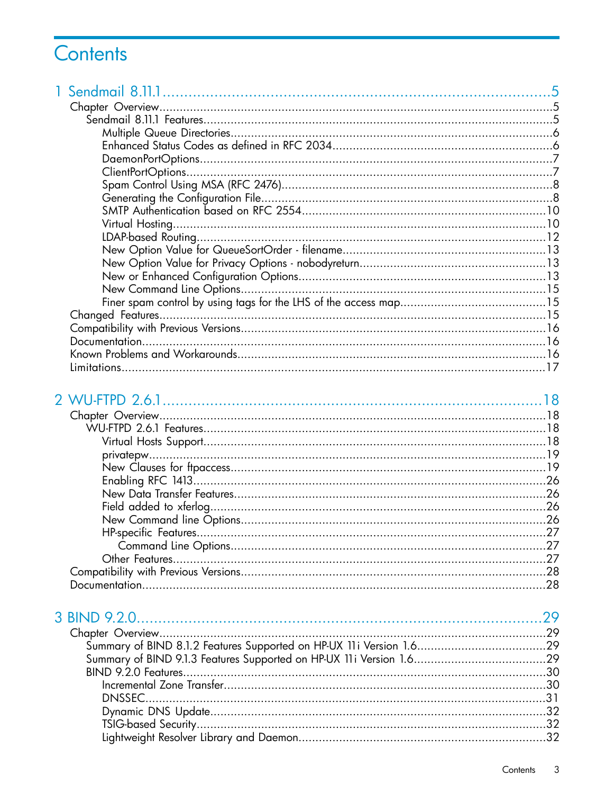# Contents

# 2 WU-FTPD 2.6.1

| .27 |
|-----|
| .28 |
| .28 |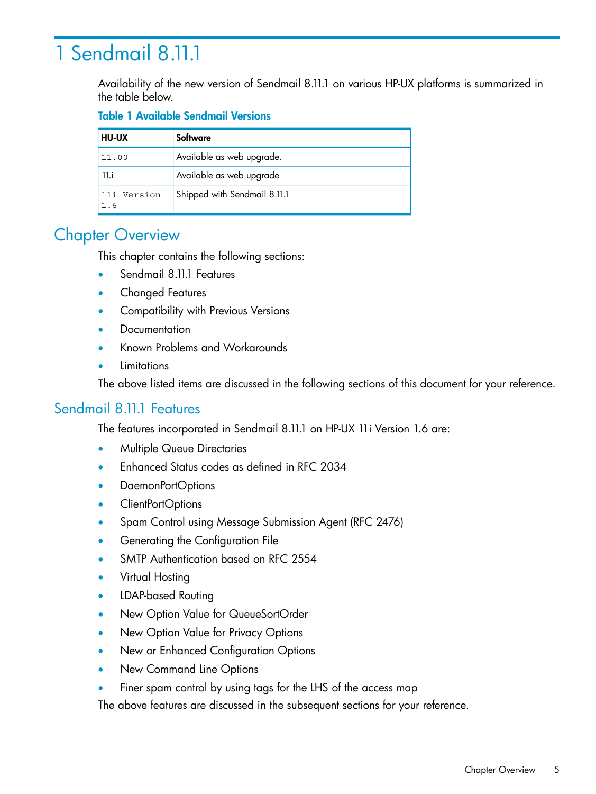# <span id="page-4-0"></span>1 Sendmail 8.11.1

Availability of the new version of Sendmail 8.11.1 on various HP-UX platforms is summarized in the table below.

## Table 1 Available Sendmail Versions

| <b>HU-UX</b>       | Software                     |
|--------------------|------------------------------|
| 11.00              | Available as web upgrade.    |
| 11.i               | Available as web upgrade     |
| 11i Version<br>1.6 | Shipped with Sendmail 8.11.1 |

# <span id="page-4-1"></span>**Chapter Overview**

This chapter contains the following sections:

- Sendmail 8.11.1 Features
- Changed Features
- Compatibility with Previous Versions
- **Documentation**
- Known Problems and Workarounds
- <span id="page-4-2"></span>**Limitations**

The above listed items are discussed in the following sections of this document for your reference.

## Sendmail 8.11.1 Features

The features incorporated in Sendmail 8.11.1 on HP-UX 11i Version 1.6 are:

- Multiple Queue Directories
- Enhanced Status codes as defined in RFC 2034
- DaemonPortOptions
- ClientPortOptions
- Spam Control using Message Submission Agent (RFC 2476)
- Generating the Configuration File
- SMTP Authentication based on RFC 2554
- Virtual Hosting
- LDAP-based Routing
- New Option Value for QueueSortOrder
- New Option Value for Privacy Options
- New or Enhanced Configuration Options
- New Command Line Options
- Finer spam control by using tags for the LHS of the access map

The above features are discussed in the subsequent sections for your reference.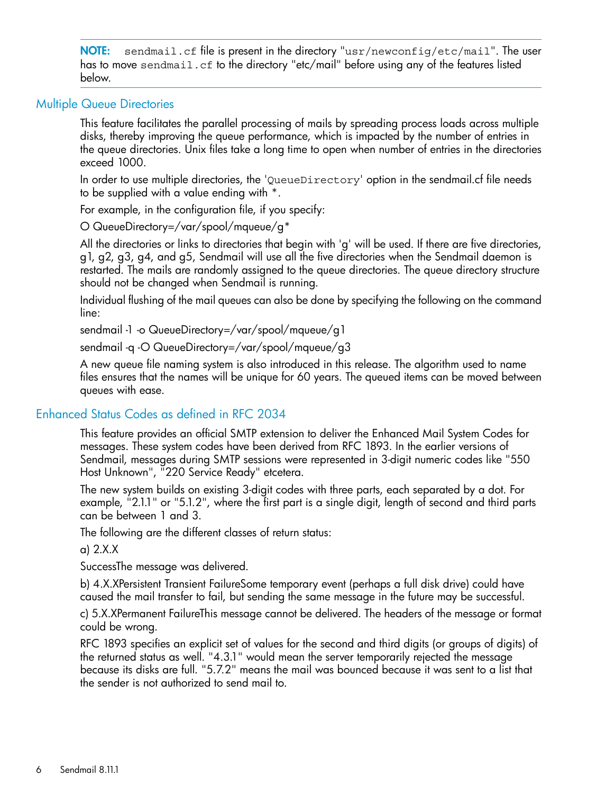NOTE: sendmail.cf file is present in the directory "usr/newconfig/etc/mail". The user has to move sendmail.cf to the directory "etc/mail" before using any of the features listed below.

#### Multiple Queue Directories

<span id="page-5-0"></span>This feature facilitates the parallel processing of mails by spreading process loads across multiple disks, thereby improving the queue performance, which is impacted by the number of entries in the queue directories. Unix files take a long time to open when number of entries in the directories exceed 1000.

In order to use multiple directories, the 'QueueDirectory' option in the sendmail.cf file needs to be supplied with a value ending with \*.

For example, in the configuration file, if you specify:

O QueueDirectory=/var/spool/mqueue/g\*

All the directories or links to directories that begin with 'g' will be used. If there are five directories, g1, g2, g3, g4, and g5, Sendmail will use all the five directories when the Sendmail daemon is restarted. The mails are randomly assigned to the queue directories. The queue directory structure should not be changed when Sendmail is running.

Individual flushing of the mail queues can also be done by specifying the following on the command line:

sendmail -1 -o QueueDirectory=/var/spool/mqueue/g1

sendmail -q -O QueueDirectory=/var/spool/mqueue/g3

<span id="page-5-1"></span>A new queue file naming system is also introduced in this release. The algorithm used to name files ensures that the names will be unique for 60 years. The queued items can be moved between queues with ease.

## Enhanced Status Codes as defined in RFC 2034

This feature provides an official SMTP extension to deliver the Enhanced Mail System Codes for messages. These system codes have been derived from RFC 1893. In the earlier versions of Sendmail, messages during SMTP sessions were represented in 3-digit numeric codes like "550 Host Unknown", "220 Service Ready" etcetera.

The new system builds on existing 3-digit codes with three parts, each separated by a dot. For example, "2.1.1" or "5.1.2", where the first part is a single digit, length of second and third parts can be between 1 and 3.

The following are the different classes of return status:

a) 2.X.X

SuccessThe message was delivered.

b) 4.X.XPersistent Transient FailureSome temporary event (perhaps a full disk drive) could have caused the mail transfer to fail, but sending the same message in the future may be successful.

c) 5.X.XPermanent FailureThis message cannot be delivered. The headers of the message or format could be wrong.

RFC 1893 specifies an explicit set of values for the second and third digits (or groups of digits) of the returned status as well. "4.3.1" would mean the server temporarily rejected the message because its disks are full. "5.7.2" means the mail was bounced because it was sent to a list that the sender is not authorized to send mail to.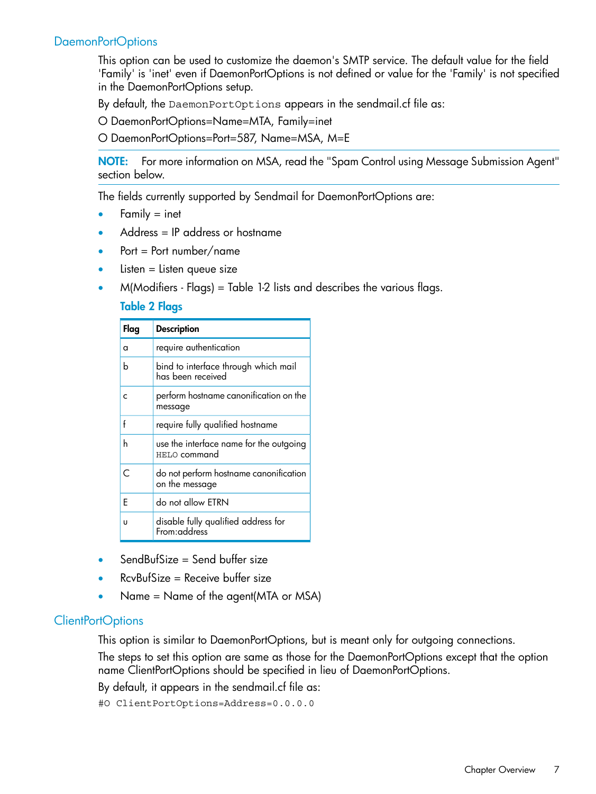## DaemonPortOptions

<span id="page-6-0"></span>This option can be used to customize the daemon's SMTP service. The default value for the field 'Family' is 'inet' even if DaemonPortOptions is not defined or value for the 'Family' is not specified in the DaemonPortOptions setup.

By default, the DaemonPortOptions appears in the sendmail.cf file as:

O DaemonPortOptions=Name=MTA, Family=inet

O DaemonPortOptions=Port=587, Name=MSA, M=E

NOTE: For more information on MSA, read the "Spam Control using Message Submission Agent" section below.

The fields currently supported by Sendmail for DaemonPortOptions are:

- Family  $=$  inet
- Address = IP address or hostname
- $Port = Port number / name$
- $Listener = listen queue size$
- $M(Modifiers Flags) = Table 1-2 lists and describes the various flags.$

#### Table 2 Flags

| Flag | <b>Description</b>                                        |
|------|-----------------------------------------------------------|
| a    | require authentication                                    |
| b    | bind to interface through which mail<br>has been received |
| C    | perform hostname canonification on the<br>message         |
| f    | require fully qualified hostname                          |
| h    | use the interface name for the outgoing<br>HELO command   |
| C    | do not perform hostname canonification<br>on the message  |
| F    | do not allow ETRN                                         |
| U    | disable fully qualified address for<br>From:address       |

- <span id="page-6-1"></span> $SendBufSize = Send buffer size$
- $RcvBufSize = Receive buffer size$
- Name = Name of the agent(MTA or MSA)

#### ClientPortOptions

This option is similar to DaemonPortOptions, but is meant only for outgoing connections.

The steps to set this option are same as those for the DaemonPortOptions except that the option name ClientPortOptions should be specified in lieu of DaemonPortOptions.

By default, it appears in the sendmail.cf file as:

#O ClientPortOptions=Address=0.0.0.0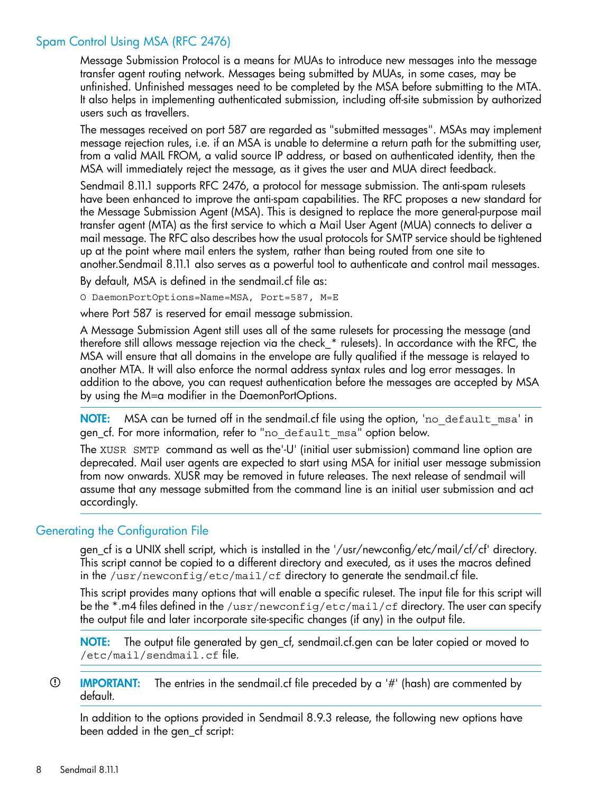## Spam Control Using MSA (RFC 2476)

<span id="page-7-0"></span>Message Submission Protocol is a means for MUAs to introduce new messages into the message transfer agent routing network. Messages being submitted by MUAs, in some cases, may be unfinished. Unfinished messages need to be completed by the MSA before submitting to the MTA. It also helps in implementing authenticated submission, including off-site submission by authorized users such as travellers.

The messages received on port 587 are regarded as "submitted messages". MSAs may implement message rejection rules, i.e. if an MSA is unable to determine a return path for the submitting user, from a valid MAIL FROM, a valid source IP address, or based on authenticated identity, then the MSA will immediately reject the message, as it gives the user and MUA direct feedback.

Sendmail 8.11.1 supports RFC 2476, a protocol for message submission. The anti-spam rulesets have been enhanced to improve the anti-spam capabilities. The RFC proposes a new standard for the Message Submission Agent (MSA). This is designed to replace the more general-purpose mail transfer agent (MTA) as the first service to which a Mail User Agent (MUA) connects to deliver a mail message. The RFC also describes how the usual protocols for SMTP service should be tightened up at the point where mail enters the system, rather than being routed from one site to another.Sendmail 8.11.1 also serves as a powerful tool to authenticate and control mail messages.

By default, MSA is defined in the sendmail.cf file as:

O DaemonPortOptions=Name=MSA, Port=587, M=E

where Port 587 is reserved for email message submission.

A Message Submission Agent still uses all of the same rulesets for processing the message (and therefore still allows message rejection via the check\_\* rulesets). In accordance with the RFC, the MSA will ensure that all domains in the envelope are fully qualified if the message is relayed to another MTA. It will also enforce the normal address syntax rules and log error messages. In addition to the above, you can request authentication before the messages are accepted by MSA by using the M=a modifier in the DaemonPortOptions.

NOTE: MSA can be turned off in the sendmail.cf file using the option, 'no default msa' in gen\_cf. For more information, refer to "no\_default\_msa" option below.

<span id="page-7-1"></span>The XUSR SMTP command as well as the'-U' (initial user submission) command line option are deprecated. Mail user agents are expected to start using MSA for initial user message submission from now onwards. XUSR may be removed in future releases. The next release of sendmail will assume that any message submitted from the command line is an initial user submission and act accordingly.

## Generating the Configuration File

gen\_cf is a UNIX shell script, which is installed in the '/usr/newconfig/etc/mail/cf/cf' directory. This script cannot be copied to a different directory and executed, as it uses the macros defined in the /usr/newconfig/etc/mail/cf directory to generate the sendmail.cf file.

This script provides many options that will enable a specific ruleset. The input file for this script will be the \*.m4 files defined in the /usr/newconfig/etc/mail/cf directory. The user can specify the output file and later incorporate site-specific changes (if any) in the output file.

NOTE: The output file generated by gen\_cf, sendmail.cf.gen can be later copied or moved to /etc/mail/sendmail.cf file.

 $\odot$ IMPORTANT: The entries in the sendmail.cf file preceded by a '#' (hash) are commented by default.

In addition to the options provided in Sendmail 8.9.3 release, the following new options have been added in the gen\_cf script: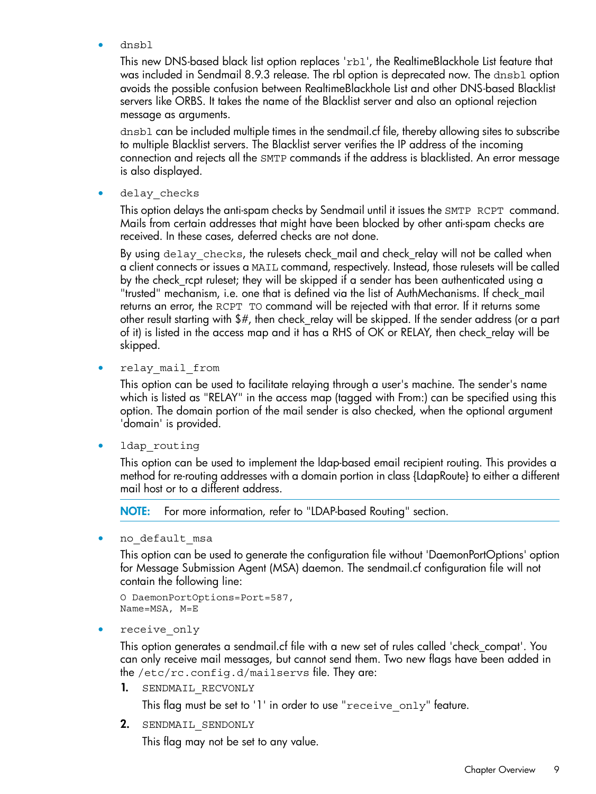• dnsbl

This new DNS-based black list option replaces 'rbl', the RealtimeBlackhole List feature that was included in Sendmail 8.9.3 release. The rbl option is deprecated now. The dnsbl option avoids the possible confusion between RealtimeBlackhole List and other DNS-based Blacklist servers like ORBS. It takes the name of the Blacklist server and also an optional rejection message as arguments.

dnsbl can be included multiple times in the sendmail.cf file, thereby allowing sites to subscribe to multiple Blacklist servers. The Blacklist server verifies the IP address of the incoming connection and rejects all the SMTP commands if the address is blacklisted. An error message is also displayed.

delay checks

This option delays the anti-spam checks by Sendmail until it issues the SMTP RCPT command. Mails from certain addresses that might have been blocked by other anti-spam checks are received. In these cases, deferred checks are not done.

By using delay checks, the rulesets check\_mail and check\_relay will not be called when a client connects or issues a MAIL command, respectively. Instead, those rulesets will be called by the check\_rcpt ruleset; they will be skipped if a sender has been authenticated using a "trusted" mechanism, i.e. one that is defined via the list of AuthMechanisms. If check\_mail returns an error, the RCPT TO command will be rejected with that error. If it returns some other result starting with \$#, then check\_relay will be skipped. If the sender address (or a part of it) is listed in the access map and it has a RHS of OK or RELAY, then check\_relay will be skipped.

• relay\_mail\_from

This option can be used to facilitate relaying through a user's machine. The sender's name which is listed as "RELAY" in the access map (tagged with From:) can be specified using this option. The domain portion of the mail sender is also checked, when the optional argument 'domain' is provided.

• ldap\_routing

This option can be used to implement the ldap-based email recipient routing. This provides a method for re-routing addresses with a domain portion in class {LdapRoute} to either a different mail host or to a different address.

NOTE: For more information, refer to "LDAP-based Routing" section.

no default msa

This option can be used to generate the configuration file without 'DaemonPortOptions' option for Message Submission Agent (MSA) daemon. The sendmail.cf configuration file will not contain the following line:

```
O DaemonPortOptions=Port=587,
Name=MSA, M=E
```
receive only

This option generates a sendmail.cf file with a new set of rules called 'check\_compat'. You can only receive mail messages, but cannot send them. Two new flags have been added in the /etc/rc.config.d/mailservs file. They are:

1. SENDMAIL RECVONLY

This flag must be set to '1' in order to use "receive\_only" feature.

2. SENDMAIL SENDONLY

This flag may not be set to any value.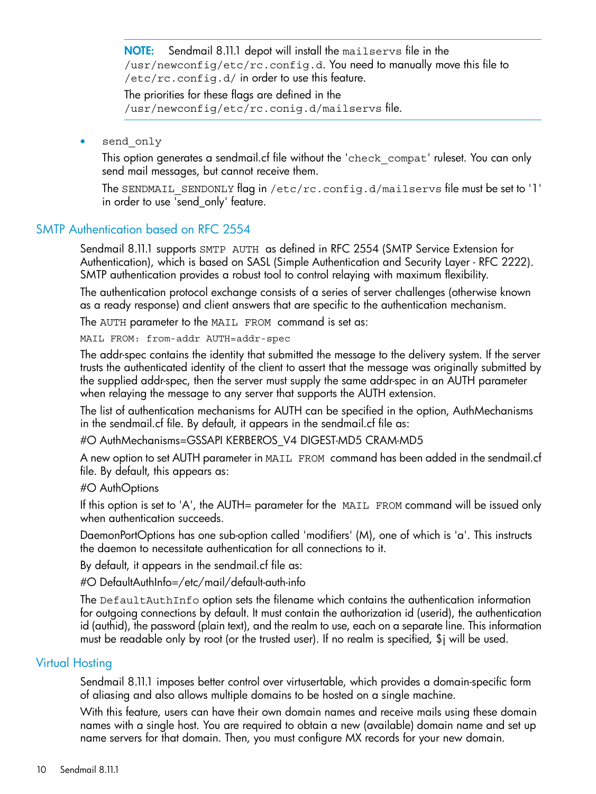NOTE: Sendmail 8.11.1 depot will install the mailservs file in the /usr/newconfig/etc/rc.config.d. You need to manually move this file to  $/etcirc.config.d/$  in order to use this feature.

The priorities for these flags are defined in the /usr/newconfig/etc/rc.conig.d/mailservs file.

send only

This option generates a sendmail.cf file without the 'check\_compat' ruleset. You can only send mail messages, but cannot receive them.

<span id="page-9-0"></span>The SENDMAIL\_SENDONLY flag in /etc/rc.config.d/mailservs file must be set to '1' in order to use 'send\_only' feature.

#### SMTP Authentication based on RFC 2554

Sendmail 8.11.1 supports SMTP AUTH as defined in RFC 2554 (SMTP Service Extension for Authentication), which is based on SASL (Simple Authentication and Security Layer - RFC 2222). SMTP authentication provides a robust tool to control relaying with maximum flexibility.

The authentication protocol exchange consists of a series of server challenges (otherwise known as a ready response) and client answers that are specific to the authentication mechanism.

The AUTH parameter to the MAIL FROM command is set as:

MAIL FROM: from-addr AUTH=addr-spec

The addr-spec contains the identity that submitted the message to the delivery system. If the server trusts the authenticated identity of the client to assert that the message was originally submitted by the supplied addr-spec, then the server must supply the same addr-spec in an AUTH parameter when relaying the message to any server that supports the AUTH extension.

The list of authentication mechanisms for AUTH can be specified in the option, AuthMechanisms in the sendmail.cf file. By default, it appears in the sendmail.cf file as:

#O AuthMechanisms=GSSAPI KERBEROS\_V4 DIGEST-MD5 CRAM-MD5

A new option to set AUTH parameter in MAIL FROM command has been added in the sendmail.cf file. By default, this appears as:

#### #O AuthOptions

If this option is set to 'A', the AUTH= parameter for the  $MAIL$  FROM command will be issued only when authentication succeeds.

DaemonPortOptions has one sub-option called 'modifiers' (M), one of which is 'a'. This instructs the daemon to necessitate authentication for all connections to it.

By default, it appears in the sendmail.cf file as:

<span id="page-9-1"></span>#O DefaultAuthInfo=/etc/mail/default-auth-info

The DefaultAuthInfo option sets the filename which contains the authentication information for outgoing connections by default. It must contain the authorization id (userid), the authentication id (authid), the password (plain text), and the realm to use, each on a separate line. This information must be readable only by root (or the trusted user). If no realm is specified, \$j will be used.

#### Virtual Hosting

Sendmail 8.11.1 imposes better control over virtusertable, which provides a domain-specific form of aliasing and also allows multiple domains to be hosted on a single machine.

With this feature, users can have their own domain names and receive mails using these domain names with a single host. You are required to obtain a new (available) domain name and set up name servers for that domain. Then, you must configure MX records for your new domain.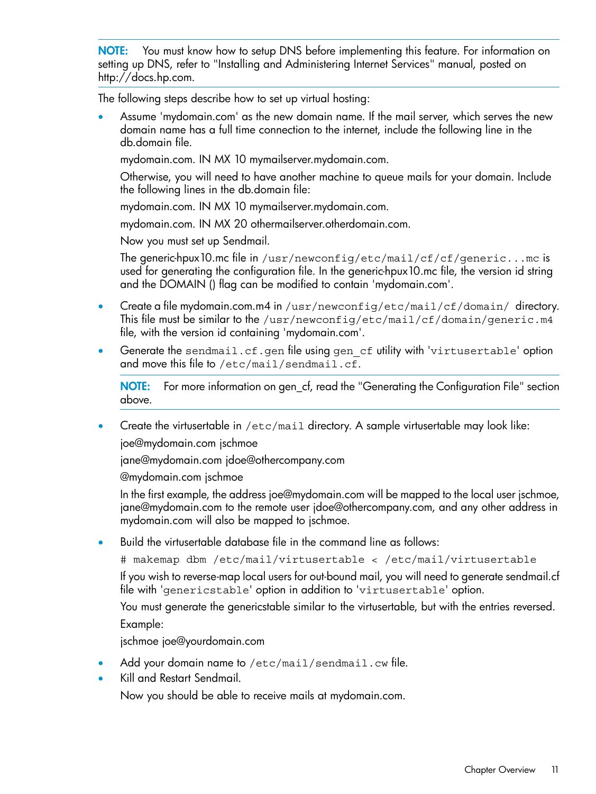NOTE: You must know how to setup DNS before implementing this feature. For information on setting up DNS, refer to "Installing and Administering Internet Services" manual, posted on http://docs.hp.com.

The following steps describe how to set up virtual hosting:

• Assume 'mydomain.com' as the new domain name. If the mail server, which serves the new domain name has a full time connection to the internet, include the following line in the db.domain file.

mydomain.com. IN MX 10 mymailserver.mydomain.com.

Otherwise, you will need to have another machine to queue mails for your domain. Include the following lines in the db.domain file:

mydomain.com. IN MX 10 mymailserver.mydomain.com.

mydomain.com. IN MX 20 othermailserver.otherdomain.com.

Now you must set up Sendmail.

The generic-hpux10.mc file in /usr/newconfig/etc/mail/cf/cf/generic...mc is used for generating the configuration file. In the generic-hpux10.mc file, the version id string and the DOMAIN () flag can be modified to contain 'mydomain.com'.

- Create a file mydomain.com.m4 in /usr/newconfig/etc/mail/cf/domain/ directory. This file must be similar to the /usr/newconfig/etc/mail/cf/domain/generic.m4 file, with the version id containing 'mydomain.com'.
- Generate the sendmail.cf.gen file using gen\_cf utility with 'virtusertable' option and move this file to /etc/mail/sendmail.cf.

NOTE: For more information on gen\_cf, read the "Generating the Configuration File" section above.

• Create the virtusertable in /etc/mail directory. A sample virtusertable may look like:

joe@mydomain.com jschmoe

jane@mydomain.com jdoe@othercompany.com

@mydomain.com jschmoe

In the first example, the address joe@mydomain.com will be mapped to the local user jschmoe, jane@mydomain.com to the remote user jdoe@othercompany.com, and any other address in mydomain.com will also be mapped to jschmoe.

• Build the virtusertable database file in the command line as follows:

# makemap dbm /etc/mail/virtusertable < /etc/mail/virtusertable

If you wish to reverse-map local users for out-bound mail, you will need to generate sendmail.cf file with 'genericstable' option in addition to 'virtusertable' option.

You must generate the genericstable similar to the virtusertable, but with the entries reversed. Example:

jschmoe joe@yourdomain.com

- Add your domain name to /etc/mail/sendmail.cw file.
- Kill and Restart Sendmail.

Now you should be able to receive mails at mydomain.com.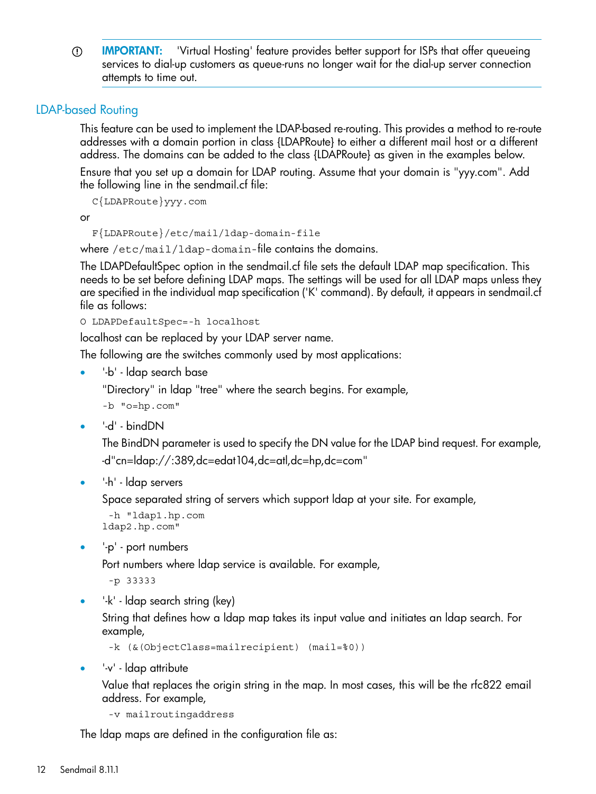IMPORTANT: 'Virtual Hosting' feature provides better support for ISPs that offer queueing  $\circled{r}$ services to dial-up customers as queue-runs no longer wait for the dial-up server connection attempts to time out.

## LDAP-based Routing

<span id="page-11-0"></span>This feature can be used to implement the LDAP-based re-routing. This provides a method to re-route addresses with a domain portion in class {LDAPRoute} to either a different mail host or a different address. The domains can be added to the class {LDAPRoute} as given in the examples below.

Ensure that you set up a domain for LDAP routing. Assume that your domain is "yyy.com". Add the following line in the sendmail.cf file:

C{LDAPRoute}yyy.com

or

```
 F{LDAPRoute}/etc/mail/ldap-domain-file
```
where /etc/mail/ldap-domain-file contains the domains.

The LDAPDefaultSpec option in the sendmail.cf file sets the default LDAP map specification. This needs to be set before defining LDAP maps. The settings will be used for all LDAP maps unless they are specified in the individual map specification ('K' command). By default, it appears in sendmail.cf file as follows:

O LDAPDefaultSpec=-h localhost

localhost can be replaced by your LDAP server name.

The following are the switches commonly used by most applications:

• '-b' - ldap search base

"Directory" in ldap "tree" where the search begins. For example,

-b "o=hp.com"

• '-d' - bindDN

The BindDN parameter is used to specify the DN value for the LDAP bind request. For example, -d"cn=ldap://:389,dc=edat104,dc=atl,dc=hp,dc=com"

```
• '-h' - ldap servers
```
Space separated string of servers which support ldap at your site. For example,

 -h "ldap1.hp.com ldap2.hp.com"

• '-p' - port numbers

Port numbers where ldap service is available. For example,

-p 33333

'-k' - Idap search string (key)

String that defines how a ldap map takes its input value and initiates an ldap search. For example,

-k (&(ObjectClass=mailrecipient) (mail=%0))

• '-v' - ldap attribute

Value that replaces the origin string in the map. In most cases, this will be the rfc822 email address. For example,

-v mailroutingaddress

The ldap maps are defined in the configuration file as: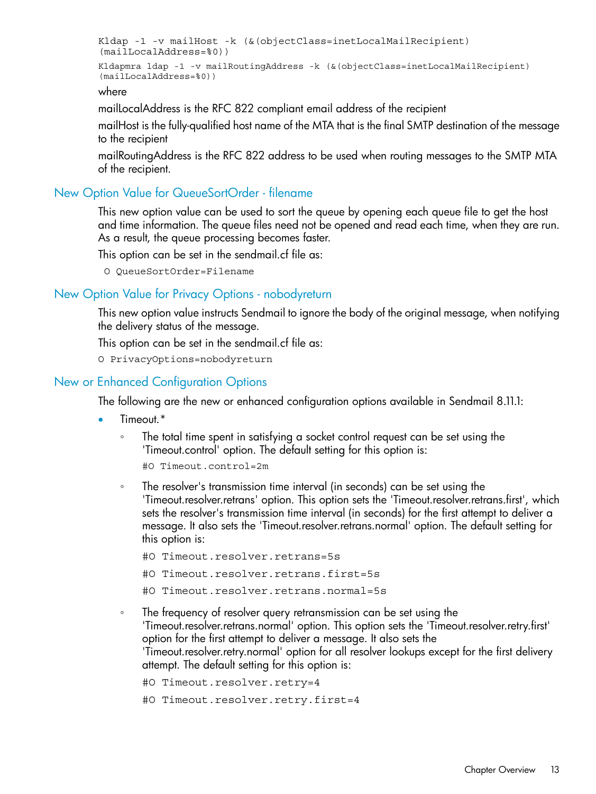```
Kldap -1 -v mailHost -k (&(objectClass=inetLocalMailRecipient)
(mailLocalAddress=%0))
Kldapmra ldap -1 -v mailRoutingAddress -k (&(objectClass=inetLocalMailRecipient)
(mailLocalAddress=%0))
```
where

mailLocalAddress is the RFC 822 compliant email address of the recipient

mailHost is the fully-qualified host name of the MTA that is the final SMTP destination of the message to the recipient

<span id="page-12-0"></span>mailRoutingAddress is the RFC 822 address to be used when routing messages to the SMTP MTA of the recipient.

## New Option Value for QueueSortOrder - filename

This new option value can be used to sort the queue by opening each queue file to get the host and time information. The queue files need not be opened and read each time, when they are run. As a result, the queue processing becomes faster.

<span id="page-12-1"></span>This option can be set in the sendmail.cf file as:

O QueueSortOrder=Filename

#### New Option Value for Privacy Options - nobodyreturn

This new option value instructs Sendmail to ignore the body of the original message, when notifying the delivery status of the message.

<span id="page-12-2"></span>This option can be set in the sendmail.cf file as:

O PrivacyOptions=nobodyreturn

#### New or Enhanced Configuration Options

The following are the new or enhanced configuration options available in Sendmail 8.11.1:

- Timeout.\*
	- The total time spent in satisfying a socket control request can be set using the 'Timeout.control' option. The default setting for this option is: ◦
		- #O Timeout.control=2m
	- The resolver's transmission time interval (in seconds) can be set using the 'Timeout.resolver.retrans' option. This option sets the 'Timeout.resolver.retrans.first', which sets the resolver's transmission time interval (in seconds) for the first attempt to deliver a message. It also sets the 'Timeout.resolver.retrans.normal' option. The default setting for this option is:
		- #O Timeout.resolver.retrans=5s
		- #O Timeout.resolver.retrans.first=5s
		- #O Timeout.resolver.retrans.normal=5s
	- The frequency of resolver query retransmission can be set using the 'Timeout.resolver.retrans.normal' option. This option sets the 'Timeout.resolver.retry.first' option for the first attempt to deliver a message. It also sets the 'Timeout.resolver.retry.normal' option for all resolver lookups except for the first delivery attempt. The default setting for this option is:

```
#O Timeout.resolver.retry=4
```

```
#O Timeout.resolver.retry.first=4
```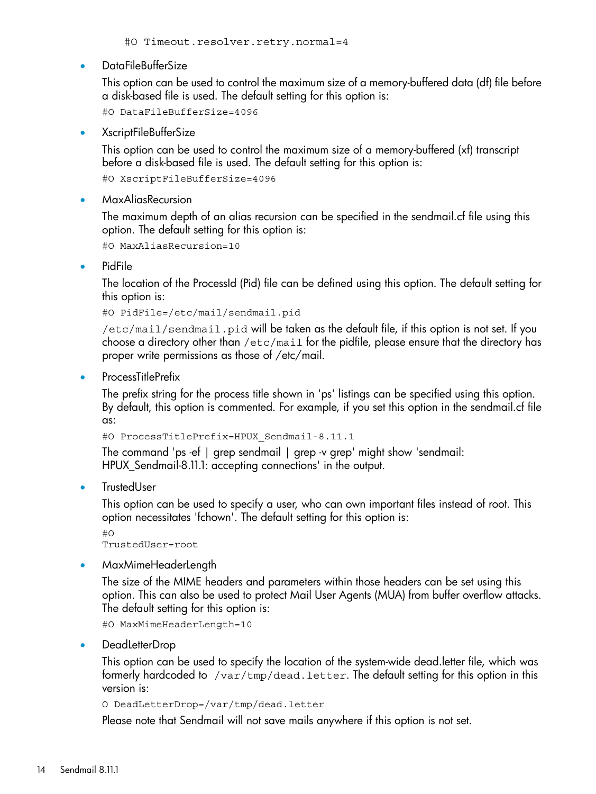• DataFileBufferSize

This option can be used to control the maximum size of a memory-buffered data (df) file before a disk-based file is used. The default setting for this option is:

#O DataFileBufferSize=4096

• XscriptFileBufferSize

This option can be used to control the maximum size of a memory-buffered (xf) transcript before a disk-based file is used. The default setting for this option is:

#O XscriptFileBufferSize=4096

• MaxAliasRecursion

The maximum depth of an alias recursion can be specified in the sendmail.cf file using this option. The default setting for this option is:

#O MaxAliasRecursion=10

• PidFile

The location of the ProcessId (Pid) file can be defined using this option. The default setting for this option is:

#O PidFile=/etc/mail/sendmail.pid

/etc/mail/sendmail.pid will be taken as the default file, if this option is not set. If you choose a directory other than /etc/mail for the pidfile, please ensure that the directory has proper write permissions as those of /etc/mail.

• ProcessTitlePrefix

The prefix string for the process title shown in 'ps' listings can be specified using this option. By default, this option is commented. For example, if you set this option in the sendmail.cf file as:

#O ProcessTitlePrefix=HPUX\_Sendmail-8.11.1

The command 'ps -ef | grep sendmail | grep -v grep' might show 'sendmail: HPUX\_Sendmail-8.11.1: accepting connections' in the output.

**TrustedUser** 

This option can be used to specify a user, who can own important files instead of root. This option necessitates 'fchown'. The default setting for this option is:

#O TrustedUser=root

• MaxMimeHeaderLength

The size of the MIME headers and parameters within those headers can be set using this option. This can also be used to protect Mail User Agents (MUA) from buffer overflow attacks. The default setting for this option is:

#O MaxMimeHeaderLength=10

• DeadLetterDrop

This option can be used to specify the location of the system-wide dead.letter file, which was formerly hardcoded to /var/tmp/dead.letter. The default setting for this option in this version is:

```
O DeadLetterDrop=/var/tmp/dead.letter
```
Please note that Sendmail will not save mails anywhere if this option is not set.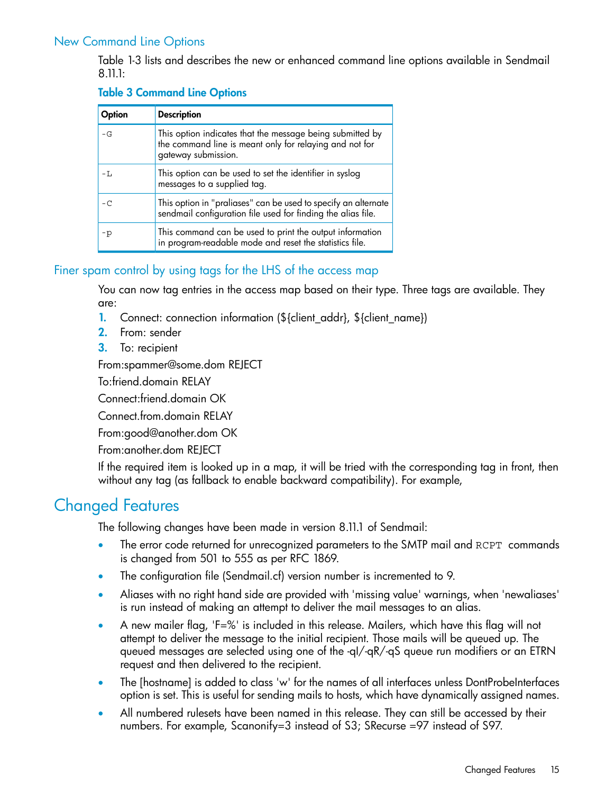## New Command Line Options

<span id="page-14-0"></span>Table 1-3 lists and describes the new or enhanced command line options available in Sendmail 8.11.1:

### Table 3 Command Line Options

| Option | <b>Description</b>                                                                                                                          |
|--------|---------------------------------------------------------------------------------------------------------------------------------------------|
| $-G$   | This option indicates that the message being submitted by<br>the command line is meant only for relaying and not for<br>gateway submission. |
| $-L$   | This option can be used to set the identifier in syslog<br>messages to a supplied tag.                                                      |
| $-C$   | This option in "praliases" can be used to specify an alternate<br>sendmail configuration file used for finding the alias file.              |
| -p     | This command can be used to print the output information<br>in program-readable mode and reset the statistics file.                         |

## <span id="page-14-1"></span>Finer spam control by using tags for the LHS of the access map

You can now tag entries in the access map based on their type. Three tags are available. They are:

- 1. Connect: connection information (\${client\_addr}, \${client\_name})
- 2. From: sender
- 3. To: recipient

From:spammer@some.dom REJECT

To:friend.domain RELAY

Connect:friend.domain OK

Connect.from.domain RELAY

From:good@another.dom OK

<span id="page-14-2"></span>From:another.dom REJECT

If the required item is looked up in a map, it will be tried with the corresponding tag in front, then without any tag (as fallback to enable backward compatibility). For example,

## Changed Features

The following changes have been made in version 8.11.1 of Sendmail:

- The error code returned for unrecognized parameters to the SMTP mail and RCPT commands is changed from 501 to 555 as per RFC 1869.
- The configuration file (Sendmail.cf) version number is incremented to 9.
- Aliases with no right hand side are provided with 'missing value' warnings, when 'newaliases' is run instead of making an attempt to deliver the mail messages to an alias.
- A new mailer flag, 'F=%' is included in this release. Mailers, which have this flag will not attempt to deliver the message to the initial recipient. Those mails will be queued up. The queued messages are selected using one of the -qI/-qR/-qS queue run modifiers or an ETRN request and then delivered to the recipient.
- The [hostname] is added to class 'w' for the names of all interfaces unless DontProbeInterfaces option is set. This is useful for sending mails to hosts, which have dynamically assigned names.
- All numbered rulesets have been named in this release. They can still be accessed by their numbers. For example, Scanonify=3 instead of S3; SRecurse =97 instead of S97.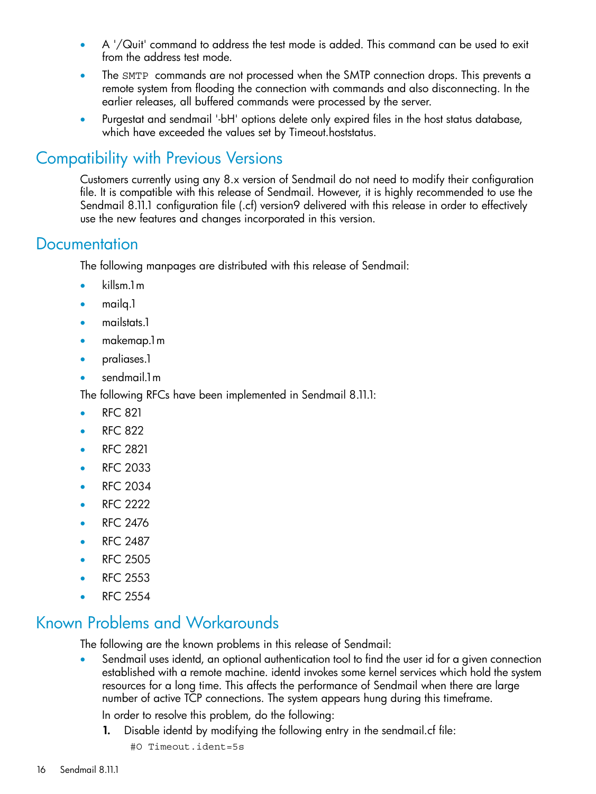- A '/Quit' command to address the test mode is added. This command can be used to exit from the address test mode.
- The SMTP commands are not processed when the SMTP connection drops. This prevents a remote system from flooding the connection with commands and also disconnecting. In the earlier releases, all buffered commands were processed by the server.
- <span id="page-15-0"></span>• Purgestat and sendmail '-bH' options delete only expired files in the host status database, which have exceeded the values set by Timeout.hoststatus.

# Compatibility with Previous Versions

<span id="page-15-1"></span>Customers currently using any 8.x version of Sendmail do not need to modify their configuration file. It is compatible with this release of Sendmail. However, it is highly recommended to use the Sendmail 8.11.1 configuration file (.cf) version9 delivered with this release in order to effectively use the new features and changes incorporated in this version.

## **Documentation**

The following manpages are distributed with this release of Sendmail:

- killsm.1m
- mailq.1
- mailstats.1
- makemap.1m
- praliases.1
- sendmail.1m

The following RFCs have been implemented in Sendmail 8.11.1:

- RFC 821
- RFC 822
- RFC 2821
- RFC 2033
- RFC 2034
- RFC 2222
- RFC 2476
- RFC 2487
- <span id="page-15-2"></span>• RFC 2505
- RFC 2553
- RFC 2554

# Known Problems and Workarounds

The following are the known problems in this release of Sendmail:

• Sendmail uses identd, an optional authentication tool to find the user id for a given connection established with a remote machine. identd invokes some kernel services which hold the system resources for a long time. This affects the performance of Sendmail when there are large number of active TCP connections. The system appears hung during this timeframe.

In order to resolve this problem, do the following:

- 1. Disable identd by modifying the following entry in the sendmail.cf file:
	- #O Timeout.ident=5s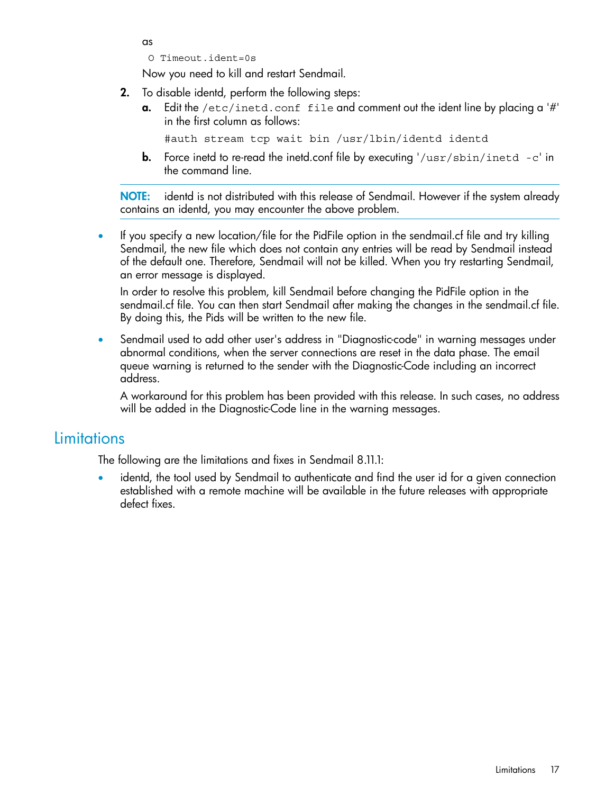as

O Timeout.ident=0s

Now you need to kill and restart Sendmail.

- 2. To disable identd, perform the following steps:
	- **a.** Edit the /etc/inetd.conf file and comment out the ident line by placing a '#' in the first column as follows:

```
#auth stream tcp wait bin /usr/lbin/identd identd
```
**b.** Force inetd to re-read the inetd.confile by executing  $\frac{1}{\sqrt{2}}$  /usr/sbin/inetd -c' in the command line.

NOTE: identd is not distributed with this release of Sendmail. However if the system already contains an identd, you may encounter the above problem.

• If you specify a new location/file for the PidFile option in the sendmail.cf file and try killing Sendmail, the new file which does not contain any entries will be read by Sendmail instead of the default one. Therefore, Sendmail will not be killed. When you try restarting Sendmail, an error message is displayed.

In order to resolve this problem, kill Sendmail before changing the PidFile option in the sendmail.cf file. You can then start Sendmail after making the changes in the sendmail.cf file. By doing this, the Pids will be written to the new file.

• Sendmail used to add other user's address in "Diagnostic-code" in warning messages under abnormal conditions, when the server connections are reset in the data phase. The email queue warning is returned to the sender with the Diagnostic-Code including an incorrect address.

<span id="page-16-0"></span>A workaround for this problem has been provided with this release. In such cases, no address will be added in the Diagnostic-Code line in the warning messages.

# **Limitations**

The following are the limitations and fixes in Sendmail 8.11.1:

identd, the tool used by Sendmail to authenticate and find the user id for a given connection established with a remote machine will be available in the future releases with appropriate defect fixes.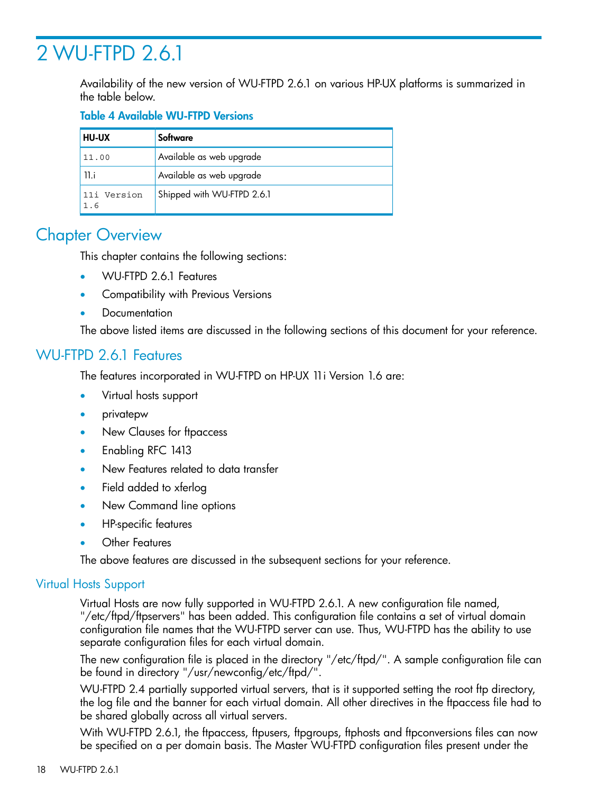# <span id="page-17-0"></span>2 WU-FTPD 2.6.1

Availability of the new version of WU-FTPD 2.6.1 on various HP-UX platforms is summarized in the table below.

## Table 4 Available WU-FTPD Versions

| <b>HU-UX</b>       | Software                   |
|--------------------|----------------------------|
| 11.00              | Available as web upgrade   |
| 11.i               | Available as web upgrade   |
| 11i Version<br>1.6 | Shipped with WU-FTPD 2.6.1 |

# <span id="page-17-1"></span>**Chapter Overview**

This chapter contains the following sections:

- WU-FTPD 2.6.1 Features
- Compatibility with Previous Versions
- <span id="page-17-2"></span>**Documentation**

The above listed items are discussed in the following sections of this document for your reference.

## WU-FTPD 2.6.1 Features

The features incorporated in WU-FTPD on HP-UX 11i Version 1.6 are:

- Virtual hosts support
- privatepw
- New Clauses for ftpaccess
- Enabling RFC 1413
- New Features related to data transfer
- Field added to xferlog
- New Command line options
- <span id="page-17-3"></span>• HP-specific features
- Other Features

The above features are discussed in the subsequent sections for your reference.

## Virtual Hosts Support

Virtual Hosts are now fully supported in WU-FTPD 2.6.1. A new configuration file named, "/etc/ftpd/ftpservers" has been added. This configuration file contains a set of virtual domain configuration file names that the WU-FTPD server can use. Thus, WU-FTPD has the ability to use separate configuration files for each virtual domain.

The new configuration file is placed in the directory "/etc/ftpd/". A sample configuration file can be found in directory "/usr/newconfig/etc/ftpd/".

WU-FTPD 2.4 partially supported virtual servers, that is it supported setting the root ftp directory, the log file and the banner for each virtual domain. All other directives in the ftpaccess file had to be shared globally across all virtual servers.

With WU-FTPD 2.6.1, the ftpaccess, ftpusers, ftpgroups, ftphosts and ftpconversions files can now be specified on a per domain basis. The Master WU-FTPD configuration files present under the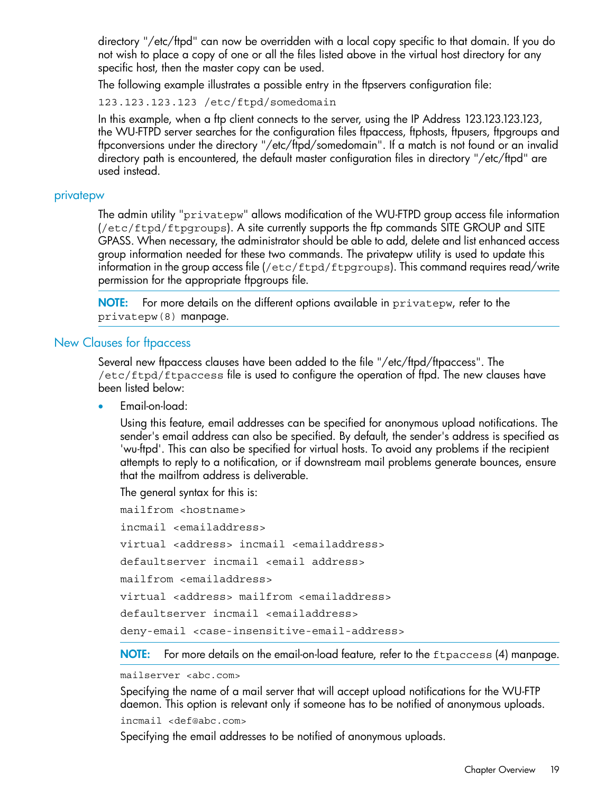directory "/etc/ftpd" can now be overridden with a local copy specific to that domain. If you do not wish to place a copy of one or all the files listed above in the virtual host directory for any specific host, then the master copy can be used.

The following example illustrates a possible entry in the ftpservers configuration file:

123.123.123.123 /etc/ftpd/somedomain

In this example, when a ftp client connects to the server, using the IP Address 123.123.123.123, the WU-FTPD server searches for the configuration files ftpaccess, ftphosts, ftpusers, ftparoups and ftpconversions under the directory "/etc/ftpd/somedomain". If a match is not found or an invalid directory path is encountered, the default master configuration files in directory "/etc/ftpd" are used instead.

#### <span id="page-18-0"></span>privatepw

The admin utility "privatepw" allows modification of the WU-FTPD group access file information (/etc/ftpd/ftpgroups). A site currently supports the ftp commands SITE GROUP and SITE GPASS. When necessary, the administrator should be able to add, delete and list enhanced access group information needed for these two commands. The privatepw utility is used to update this information in the group access file (/etc/ftpd/ftpgroups). This command requires read/write permission for the appropriate ftpgroups file.

<span id="page-18-1"></span>NOTE: For more details on the different options available in privatepw, refer to the privatepw(8) manpage.

#### New Clauses for ftpaccess

Several new ftpaccess clauses have been added to the file "/etc/ftpd/ftpaccess". The /etc/ftpd/ftpaccess file is used to configure the operation of ftpd. The new clauses have been listed below:

• Email-on-load:

Using this feature, email addresses can be specified for anonymous upload notifications. The sender's email address can also be specified. By default, the sender's address is specified as 'wu-ftpd'. This can also be specified for virtual hosts. To avoid any problems if the recipient attempts to reply to a notification, or if downstream mail problems generate bounces, ensure that the mailfrom address is deliverable.

The general syntax for this is:

mailfrom <hostname> incmail <emailaddress> virtual <address> incmail <emailaddress> defaultserver incmail <email address> mailfrom <emailaddress> virtual <address> mailfrom <emailaddress> defaultserver incmail <emailaddress> deny-email <case-insensitive-email-address>

NOTE: For more details on the email-on-load feature, refer to the *ftpaccess* (4) manpage.

mailserver <abc.com>

Specifying the name of a mail server that will accept upload notifications for the WU-FTP daemon. This option is relevant only if someone has to be notified of anonymous uploads. incmail <def@abc.com>

Specifying the email addresses to be notified of anonymous uploads.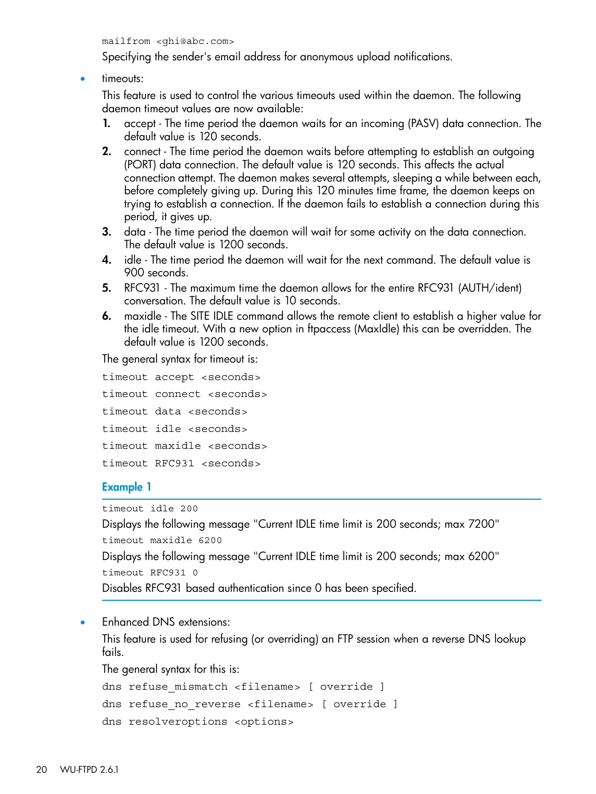mailfrom <ghi@abc.com>

Specifying the sender's email address for anonymous upload notifications.

• timeouts:

This feature is used to control the various timeouts used within the daemon. The following daemon timeout values are now available:

- 1. accept The time period the daemon waits for an incoming (PASV) data connection. The default value is 120 seconds.
- 2. connect The time period the daemon waits before attempting to establish an outgoing (PORT) data connection. The default value is 120 seconds. This affects the actual connection attempt. The daemon makes several attempts, sleeping a while between each, before completely giving up. During this 120 minutes time frame, the daemon keeps on trying to establish a connection. If the daemon fails to establish a connection during this period, it gives up.
- 3. data The time period the daemon will wait for some activity on the data connection. The default value is 1200 seconds.
- 4. idle The time period the daemon will wait for the next command. The default value is 900 seconds.
- 5. RFC931 The maximum time the daemon allows for the entire RFC931 (AUTH/ident) conversation. The default value is 10 seconds.
- 6. maxidle The SITE IDLE command allows the remote client to establish a higher value for the idle timeout. With a new option in ftpaccess (MaxIdle) this can be overridden. The default value is 1200 seconds.

The general syntax for timeout is:

```
timeout accept <seconds>
timeout connect <seconds>
timeout data <seconds>
timeout idle <seconds>
timeout maxidle <seconds>
timeout RFC931 <seconds>
```
#### Example 1

timeout idle 200

Displays the following message "Current IDLE time limit is 200 seconds; max 7200" timeout maxidle 6200 Displays the following message "Current IDLE time limit is 200 seconds; max 6200" timeout RFC931 0 Disables RFC931 based authentication since 0 has been specified.

• Enhanced DNS extensions:

This feature is used for refusing (or overriding) an FTP session when a reverse DNS lookup fails.

The general syntax for this is:

dns refuse mismatch <filename> [ override ]

```
dns refuse no reverse <filename> [ override ]
```

```
dns resolveroptions <options>
```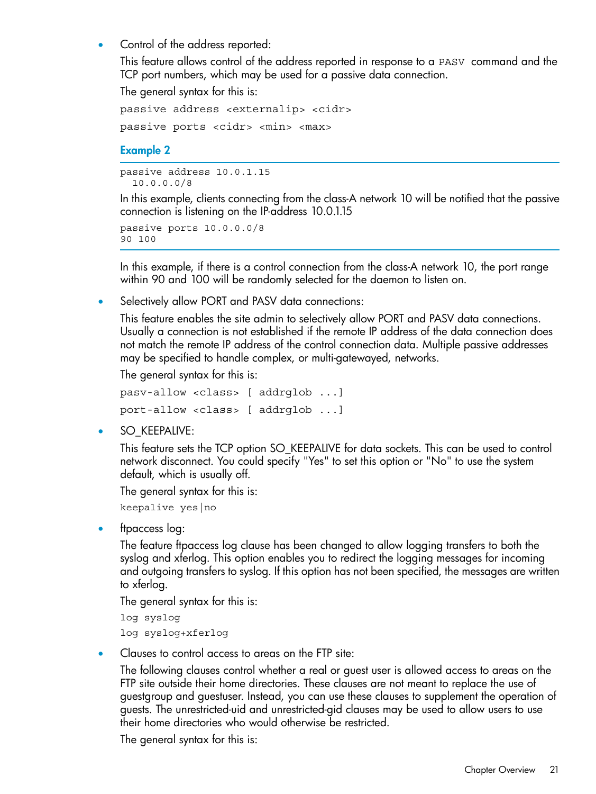• Control of the address reported:

This feature allows control of the address reported in response to a PASV command and the TCP port numbers, which may be used for a passive data connection.

The general syntax for this is:

```
passive address <externalip> <cidr>
passive ports <cidr> <min> <max>
```
#### Example 2

passive address 10.0.1.15 10.0.0.0/8

In this example, clients connecting from the class-A network 10 will be notified that the passive connection is listening on the IP-address 10.0.1.15

passive ports 10.0.0.0/8 90 100

In this example, if there is a control connection from the class-A network 10, the port range within 90 and 100 will be randomly selected for the daemon to listen on.

• Selectively allow PORT and PASV data connections:

This feature enables the site admin to selectively allow PORT and PASV data connections. Usually a connection is not established if the remote IP address of the data connection does not match the remote IP address of the control connection data. Multiple passive addresses may be specified to handle complex, or multi-gatewayed, networks.

The general syntax for this is:

```
pasv-allow <class> [ addrglob ...]
port-allow <class> [ addrglob ...]
```
• SO\_KEEPALIVE:

This feature sets the TCP option SO\_KEEPALIVE for data sockets. This can be used to control network disconnect. You could specify "Yes" to set this option or "No" to use the system default, which is usually off.

The general syntax for this is:

keepalive yes|no

• ftpaccess log:

The feature ftpaccess log clause has been changed to allow logging transfers to both the syslog and xferlog. This option enables you to redirect the logging messages for incoming and outgoing transfers to syslog. If this option has not been specified, the messages are written to xferlog.

The general syntax for this is:

```
log syslog
log syslog+xferlog
```
• Clauses to control access to areas on the FTP site:

The following clauses control whether a real or guest user is allowed access to areas on the FTP site outside their home directories. These clauses are not meant to replace the use of guestgroup and guestuser. Instead, you can use these clauses to supplement the operation of guests. The unrestricted-uid and unrestricted-gid clauses may be used to allow users to use their home directories who would otherwise be restricted.

The general syntax for this is: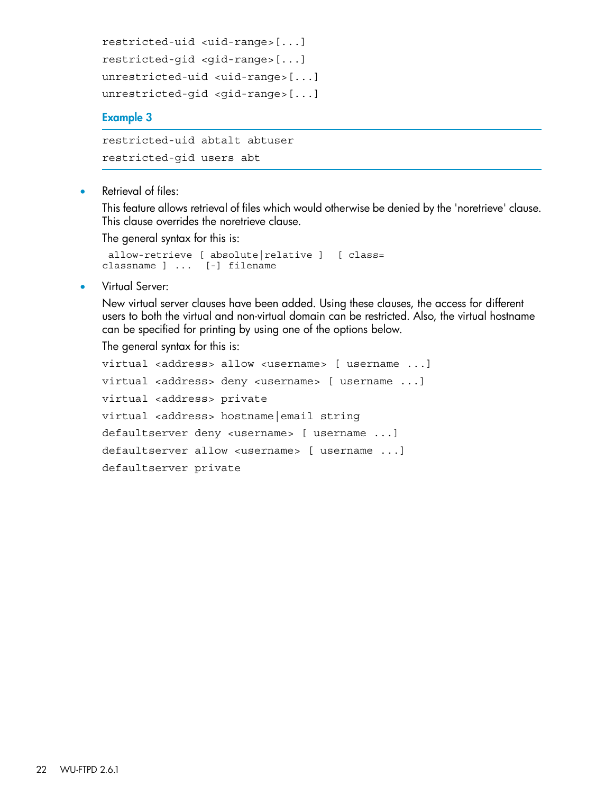```
restricted-uid <uid-range>[...]
restricted-gid <gid-range>[...]
unrestricted-uid <uid-range>[...]
unrestricted-gid <gid-range>[...]
```
### Example 3

```
restricted-uid abtalt abtuser
restricted-gid users abt
```
Retrieval of files:

This feature allows retrieval of files which would otherwise be denied by the 'noretrieve' clause. This clause overrides the noretrieve clause.

The general syntax for this is:

```
 allow-retrieve [ absolute|relative ] [ class=
classname ] ... [-] filename
```
• Virtual Server:

New virtual server clauses have been added. Using these clauses, the access for different users to both the virtual and non-virtual domain can be restricted. Also, the virtual hostname can be specified for printing by using one of the options below.

The general syntax for this is:

```
virtual <address> allow <username> [ username ...]
virtual <address> deny <username> [ username ...]
virtual <address> private
virtual <address> hostname|email string
defaultserver deny <username> [ username ...]
defaultserver allow <username> [ username ...]
defaultserver private
```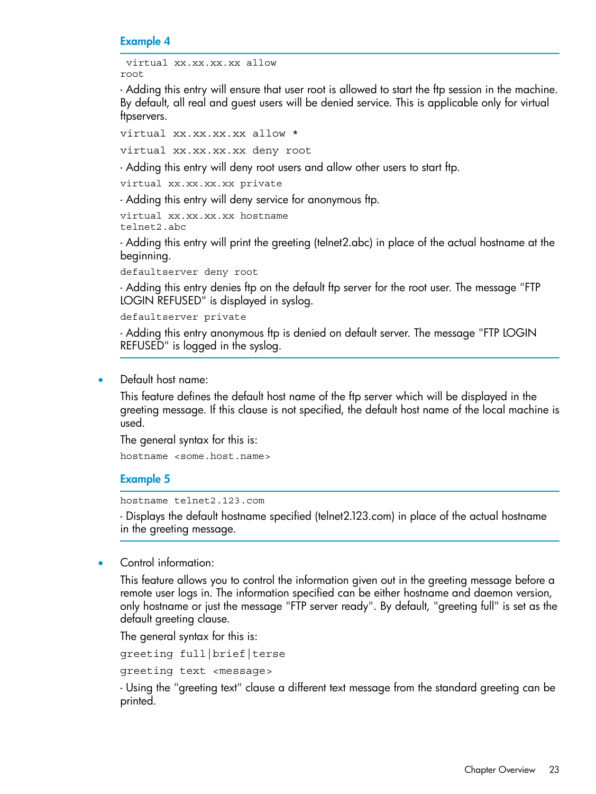#### Example 4

```
 virtual xx.xx.xx.xx allow
root
```
- Adding this entry will ensure that user root is allowed to start the ftp session in the machine. By default, all real and guest users will be denied service. This is applicable only for virtual ftpservers.

virtual xx.xx.xx.xx allow \*

virtual xx.xx.xx.xx deny root

- Adding this entry will deny root users and allow other users to start ftp.

virtual xx.xx.xx.xx private

- Adding this entry will deny service for anonymous ftp.

virtual xx.xx.xx.xx hostname telnet2.abc

- Adding this entry will print the greeting (telnet2.abc) in place of the actual hostname at the beginning.

defaultserver deny root

- Adding this entry denies ftp on the default ftp server for the root user. The message "FTP LOGIN REFUSED" is displayed in syslog.

defaultserver private

- Adding this entry anonymous ftp is denied on default server. The message "FTP LOGIN REFUSED" is logged in the syslog.

• Default host name:

This feature defines the default host name of the ftp server which will be displayed in the greeting message. If this clause is not specified, the default host name of the local machine is used.

The general syntax for this is:

hostname <some.host.name>

#### Example 5

hostname telnet2.123.com

- Displays the default hostname specified (telnet2.123.com) in place of the actual hostname in the greeting message.

• Control information:

This feature allows you to control the information given out in the greeting message before a remote user logs in. The information specified can be either hostname and daemon version, only hostname or just the message "FTP server ready". By default, "greeting full" is set as the default greeting clause.

The general syntax for this is:

greeting full|brief|terse

greeting text <message>

- Using the "greeting text" clause a different text message from the standard greeting can be printed.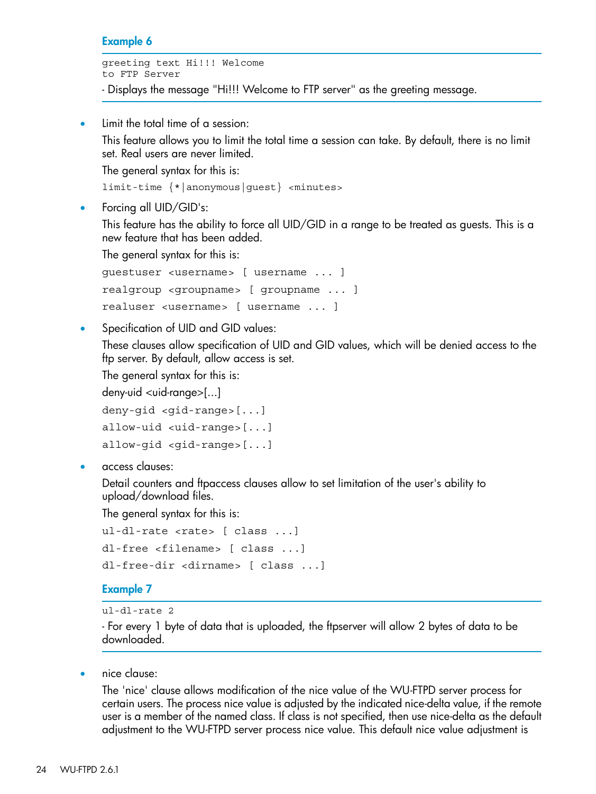#### Example 6

greeting text Hi!!! Welcome to FTP Server

- Displays the message "Hi!!! Welcome to FTP server" as the greeting message.

Limit the total time of a session:

This feature allows you to limit the total time a session can take. By default, there is no limit set. Real users are never limited.

The general syntax for this is:

limit-time {\*|anonymous|guest} <minutes>

• Forcing all UID/GID's:

This feature has the ability to force all UID/GID in a range to be treated as guests. This is a new feature that has been added.

The general syntax for this is:

```
guestuser <username> [ username ... ]
realgroup <groupname> [ groupname ... ]
realuser <username> [ username ... ]
```
Specification of UID and GID values:

These clauses allow specification of UID and GID values, which will be denied access to the ftp server. By default, allow access is set.

The general syntax for this is:

 $deny$ -uid  $\lt$ uid-range $>[...]$ 

```
deny-gid <gid-range>[...]
allow-uid <uid-range>[...]
allow-gid <gid-range>[...]
```
• access clauses:

Detail counters and ftpaccess clauses allow to set limitation of the user's ability to upload/download files.

The general syntax for this is:

```
ul-dl-rate <rate> [ class ...]
dl-free <filename> [ class ...]
dl-free-dir <dirname> [ class ...]
```
#### Example 7

```
ul-dl-rate 2
```
- For every 1 byte of data that is uploaded, the ftpserver will allow 2 bytes of data to be downloaded.

• nice clause:

The 'nice' clause allows modification of the nice value of the WU-FTPD server process for certain users. The process nice value is adjusted by the indicated nice-delta value, if the remote user is a member of the named class. If class is not specified, then use nice-delta as the default adjustment to the WU-FTPD server process nice value. This default nice value adjustment is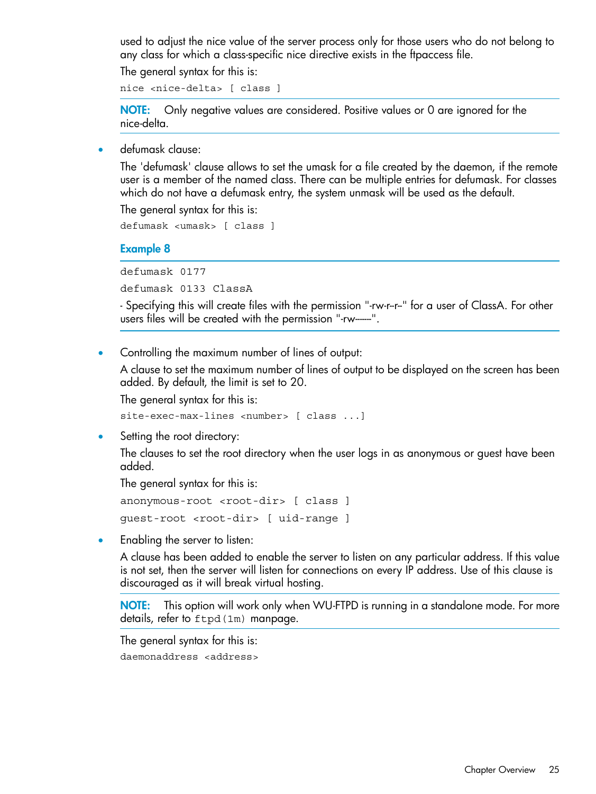used to adjust the nice value of the server process only for those users who do not belong to any class for which a class-specific nice directive exists in the ftpaccess file.

The general syntax for this is:

nice <nice-delta> [ class ]

NOTE: Only negative values are considered. Positive values or 0 are ignored for the nice-delta.

• defumask clause:

The 'defumask' clause allows to set the umask for a file created by the daemon, if the remote user is a member of the named class. There can be multiple entries for defumask. For classes which do not have a defumask entry, the system unmask will be used as the default.

The general syntax for this is:

defumask <umask> [ class ]

#### Example 8

defumask 0177

defumask 0133 ClassA

- Specifying this will create files with the permission "-rw-r--r--" for a user of ClassA. For other users files will be created with the permission "-rw-------".

• Controlling the maximum number of lines of output:

A clause to set the maximum number of lines of output to be displayed on the screen has been added. By default, the limit is set to 20.

The general syntax for this is:

site-exec-max-lines <number> [ class ...]

Setting the root directory:

The clauses to set the root directory when the user logs in as anonymous or guest have been added.

The general syntax for this is:

anonymous-root <root-dir> [ class ] guest-root <root-dir> [ uid-range ]

• Enabling the server to listen:

A clause has been added to enable the server to listen on any particular address. If this value is not set, then the server will listen for connections on every IP address. Use of this clause is discouraged as it will break virtual hosting.

NOTE: This option will work only when WU-FTPD is running in a standalone mode. For more details, refer to ftpd(1m) manpage.

The general syntax for this is:

daemonaddress <address>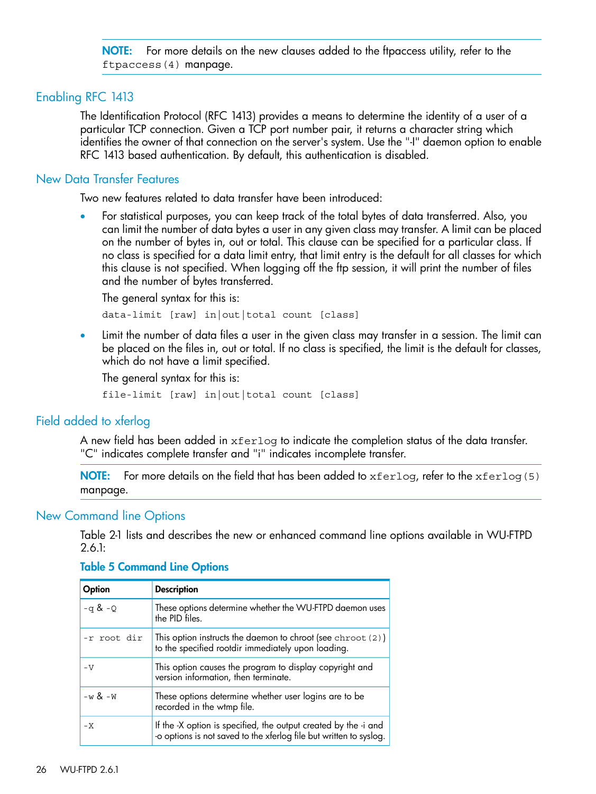NOTE: For more details on the new clauses added to the ftpaccess utility, refer to the ftpaccess(4) manpage.

### Enabling RFC 1413

<span id="page-25-1"></span><span id="page-25-0"></span>The Identification Protocol (RFC 1413) provides a means to determine the identity of a user of a particular TCP connection. Given a TCP port number pair, it returns a character string which identifies the owner of that connection on the server's system. Use the "-I" daemon option to enable RFC 1413 based authentication. By default, this authentication is disabled.

## New Data Transfer Features

Two new features related to data transfer have been introduced:

• For statistical purposes, you can keep track of the total bytes of data transferred. Also, you can limit the number of data bytes a user in any given class may transfer. A limit can be placed on the number of bytes in, out or total. This clause can be specified for a particular class. If no class is specified for a data limit entry, that limit entry is the default for all classes for which this clause is not specified. When logging off the ftp session, it will print the number of files and the number of bytes transferred.

The general syntax for this is: data-limit [raw] in|out|total count [class]

Limit the number of data files a user in the given class may transfer in a session. The limit can be placed on the files in, out or total. If no class is specified, the limit is the default for classes, which do not have a limit specified.

<span id="page-25-2"></span>The general syntax for this is:

file-limit [raw] in|out|total count [class]

## Field added to xferlog

A new field has been added in xferlog to indicate the completion status of the data transfer. "C" indicates complete transfer and "i" indicates incomplete transfer.

<span id="page-25-3"></span>**NOTE:** For more details on the field that has been added to  $x$  ferlog, refer to the  $x$  ferlog(5) manpage.

#### New Command line Options

Table 2-1 lists and describes the new or enhanced command line options available in WU-FTPD 2.6.1:

#### Table 5 Command Line Options

| Option      | <b>Description</b>                                                                                                                    |
|-------------|---------------------------------------------------------------------------------------------------------------------------------------|
| $-q$ & $-Q$ | These options determine whether the WU-FTPD daemon uses<br>the PID files.                                                             |
| -r root dir | This option instructs the daemon to chroot (see chroot $(2)$ )<br>to the specified rootdir immediately upon loading.                  |
| $-V$        | This option causes the program to display copyright and<br>version information, then terminate.                                       |
| $-w \& -w$  | These options determine whether user logins are to be<br>recorded in the wtmp file.                                                   |
| – X         | If the -X option is specified, the output created by the -i and<br>-o options is not saved to the xferlog file but written to syslog. |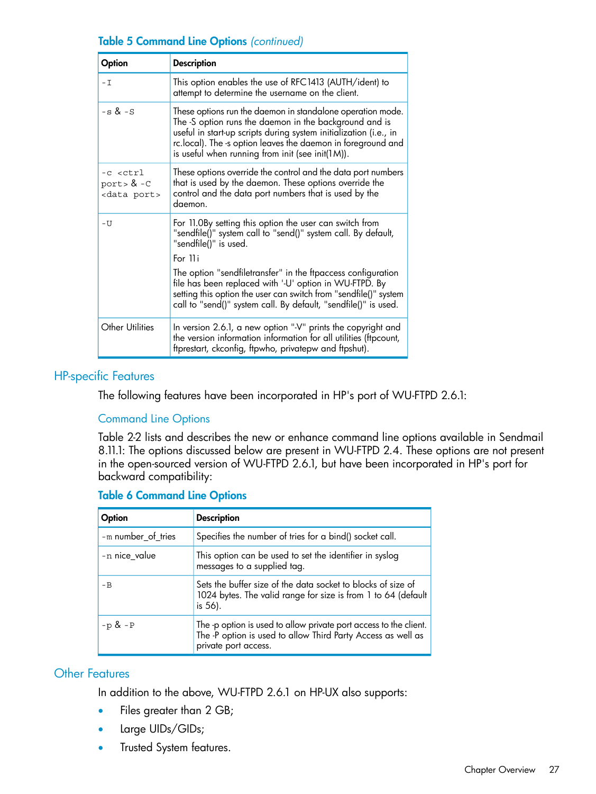## Table 5 Command Line Options *(continued)*

| Option                                                                  | <b>Description</b>                                                                                                                                                                                                                                                                                                |
|-------------------------------------------------------------------------|-------------------------------------------------------------------------------------------------------------------------------------------------------------------------------------------------------------------------------------------------------------------------------------------------------------------|
| – I                                                                     | This option enables the use of RFC1413 (AUTH/ident) to<br>attempt to determine the username on the client.                                                                                                                                                                                                        |
| $-s$ & $-S$                                                             | These options run the daemon in standalone operation mode.<br>The -S option runs the daemon in the background and is<br>useful in start-up scripts during system initialization (i.e., in<br>rc.local). The -s option leaves the daemon in foreground and<br>is useful when running from init (see init( $1M$ )). |
| -c <ctrl<br>port <math>8 - C</math><br/><data port=""></data></ctrl<br> | These options override the control and the data port numbers<br>that is used by the daemon. These options override the<br>control and the data port numbers that is used by the<br>daemon.                                                                                                                        |
| – U                                                                     | For 11.0By setting this option the user can switch from<br>"sendfile()" system call to "send()" system call. By default,<br>"sendfile()" is used.                                                                                                                                                                 |
|                                                                         | For 11 <sub>i</sub><br>The option "sendfiletransfer" in the ftpaccess configuration<br>file has been replaced with '-U' option in WU-FTPD. By<br>setting this option the user can switch from "sendfile()" system<br>call to "send()" system call. By default, "sendfile()" is used.                              |
| Other Utilities                                                         | In version 2.6.1, a new option "-V" prints the copyright and<br>the version information information for all utilities (ftpcount,<br>ftprestart, ckconfig, ftpwho, privatepw and ftpshut).                                                                                                                         |

## <span id="page-26-0"></span>HP-specific Features

<span id="page-26-1"></span>The following features have been incorporated in HP's port of WU-FTPD 2.6.1:

## Command Line Options

Table 2-2 lists and describes the new or enhance command line options available in Sendmail 8.11.1: The options discussed below are present in WU-FTPD 2.4. These options are not present in the open-sourced version of WU-FTPD 2.6.1, but have been incorporated in HP's port for backward compatibility:

| Option             | <b>Description</b>                                                                                                                                        |
|--------------------|-----------------------------------------------------------------------------------------------------------------------------------------------------------|
| -m number_of_tries | Specifies the number of tries for a bind() socket call.                                                                                                   |
| -n nice value      | This option can be used to set the identifier in syslog<br>messages to a supplied tag.                                                                    |
| $-B$               | Sets the buffer size of the data socket to blocks of size of<br>1024 bytes. The valid range for size is from 1 to 64 (default<br>is $56$ ).               |
| $-p & -P$          | The -p option is used to allow private port access to the client.<br>The -P option is used to allow Third Party Access as well as<br>private port access. |

## Table 6 Command Line Options

## <span id="page-26-2"></span>Other Features

In addition to the above, WU-FTPD 2.6.1 on HP-UX also supports:

- Files greater than 2 GB;
- Large UIDs/GIDs;
- Trusted System features.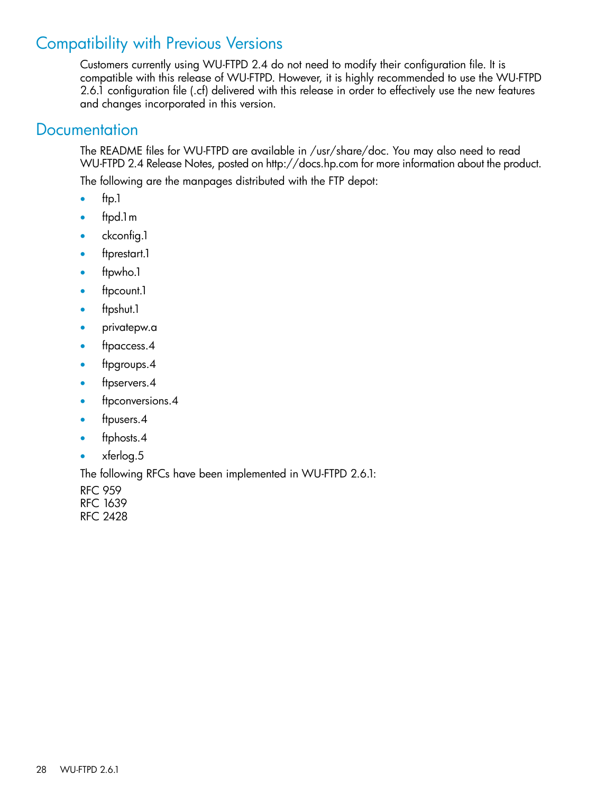# Compatibility with Previous Versions

<span id="page-27-0"></span>Customers currently using WU-FTPD 2.4 do not need to modify their configuration file. It is compatible with this release of WU-FTPD. However, it is highly recommended to use the WU-FTPD 2.6.1 configuration file (.cf) delivered with this release in order to effectively use the new features and changes incorporated in this version.

# <span id="page-27-1"></span>**Documentation**

The README files for WU-FTPD are available in /usr/share/doc. You may also need to read WU-FTPD 2.4 Release Notes, posted on http://docs.hp.com for more information about the product.

The following are the manpages distributed with the FTP depot:

- $•$  ftp.1
- ftpd.1m
- ckconfig.1
- ftprestart.1
- ftpwho.1
- ftpcount.1
- ftpshut.1
- privatepw.a
- ftpaccess.4
- ftpgroups.4
- ftpservers.4
- ftpconversions.4
- ftpusers.4
- ftphosts.4
- xferlog.5

The following RFCs have been implemented in WU-FTPD 2.6.1:

RFC 959 RFC 1639 RFC 2428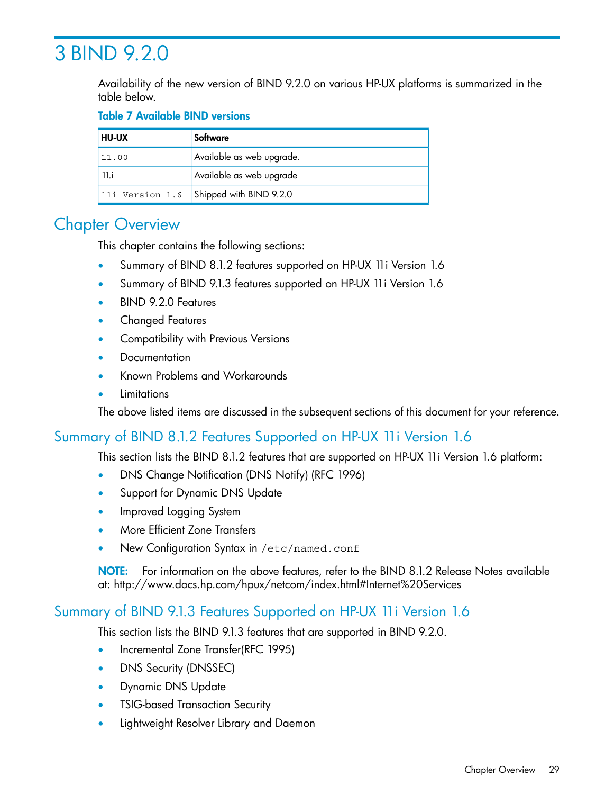# <span id="page-28-0"></span>3 BIND 9.2.0

Availability of the new version of BIND 9.2.0 on various HP-UX platforms is summarized in the table below.

## Table 7 Available BIND versions

| <b>HU-UX</b>    | Software                  |
|-----------------|---------------------------|
| 11.00           | Available as web upgrade. |
| 11.i            | Available as web upgrade  |
| 11i Version 1.6 | Shipped with BIND 9.2.0   |

# <span id="page-28-1"></span>Chapter Overview

This chapter contains the following sections:

- Summary of BIND 8.1.2 features supported on HP-UX 11i Version 1.6
- Summary of BIND 9.1.3 features supported on HP-UX 11i Version 1.6
- BIND 9.2.0 Features
- Changed Features
- Compatibility with Previous Versions
- **Documentation**
- Known Problems and Workarounds
- <span id="page-28-2"></span>**Limitations**

The above listed items are discussed in the subsequent sections of this document for your reference.

## Summary of BIND 8.1.2 Features Supported on HP-UX 11i Version 1.6

This section lists the BIND 8.1.2 features that are supported on HP-UX 11i Version 1.6 platform:

- DNS Change Notification (DNS Notify) (RFC 1996)
- Support for Dynamic DNS Update
- Improved Logging System
- More Efficient Zone Transfers
- <span id="page-28-3"></span>New Configuration Syntax in /etc/named.conf

NOTE: For information on the above features, refer to the BIND 8.1.2 Release Notes available at: http://www.docs.hp.com/hpux/netcom/index.html#Internet%20Services

## Summary of BIND 9.1.3 Features Supported on HP-UX 11i Version 1.6

This section lists the BIND 9.1.3 features that are supported in BIND 9.2.0.

- Incremental Zone Transfer(RFC 1995)
- DNS Security (DNSSEC)
- Dynamic DNS Update
- TSIG-based Transaction Security
- Lightweight Resolver Library and Daemon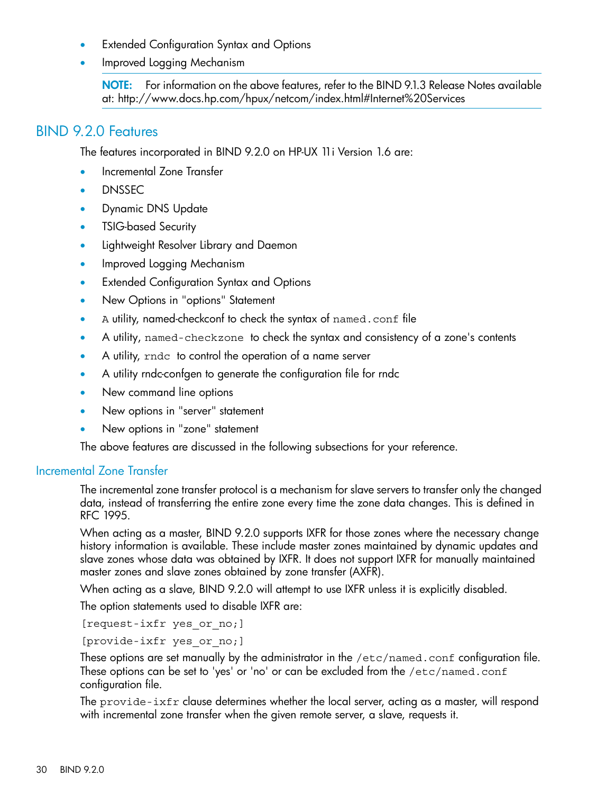- **Extended Configuration Syntax and Options**
- Improved Logging Mechanism

<span id="page-29-0"></span>NOTE: For information on the above features, refer to the BIND 9.1.3 Release Notes available at: http://www.docs.hp.com/hpux/netcom/index.html#Internet%20Services

## BIND 9.2.0 Features

The features incorporated in BIND 9.2.0 on HP-UX 11i Version 1.6 are:

- Incremental Zone Transfer
- DNSSEC
- Dynamic DNS Update
- TSIG-based Security
- Lightweight Resolver Library and Daemon
- Improved Logging Mechanism
- Extended Configuration Syntax and Options
- New Options in "options" Statement
- A utility, named-checkconf to check the syntax of named.conf file
- A utility, named-checkzone to check the syntax and consistency of a zone's contents
- A utility, rndc to control the operation of a name server
- A utility rndc-confgen to generate the configuration file for rndc
- New command line options
- <span id="page-29-1"></span>• New options in "server" statement
- New options in "zone" statement

The above features are discussed in the following subsections for your reference.

## Incremental Zone Transfer

The incremental zone transfer protocol is a mechanism for slave servers to transfer only the changed data, instead of transferring the entire zone every time the zone data changes. This is defined in RFC 1995.

When acting as a master, BIND 9.2.0 supports IXFR for those zones where the necessary change history information is available. These include master zones maintained by dynamic updates and slave zones whose data was obtained by IXFR. It does not support IXFR for manually maintained master zones and slave zones obtained by zone transfer (AXFR).

When acting as a slave, BIND 9.2.0 will attempt to use IXFR unless it is explicitly disabled.

The option statements used to disable IXFR are:

[request-ixfr yes or no;]

[provide-ixfr yes or no;]

These options are set manually by the administrator in the /etc/named.conf configuration file. These options can be set to 'yes' or 'no' or can be excluded from the /etc/named.conf configuration file.

The provide-ixfr clause determines whether the local server, acting as a master, will respond with incremental zone transfer when the given remote server, a slave, requests it.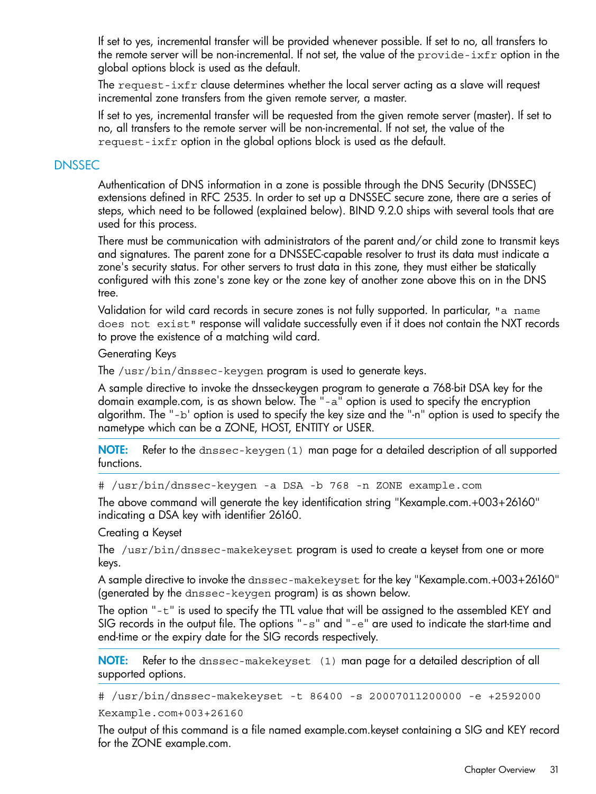If set to yes, incremental transfer will be provided whenever possible. If set to no, all transfers to the remote server will be non-incremental. If not set, the value of the provide-ixfr option in the global options block is used as the default.

The request-ixfr clause determines whether the local server acting as a slave will request incremental zone transfers from the given remote server, a master.

<span id="page-30-0"></span>If set to yes, incremental transfer will be requested from the given remote server (master). If set to no, all transfers to the remote server will be non-incremental. If not set, the value of the request-ixfr option in the global options block is used as the default.

## DNSSEC

Authentication of DNS information in a zone is possible through the DNS Security (DNSSEC) extensions defined in RFC 2535. In order to set up a DNSSEC secure zone, there are a series of steps, which need to be followed (explained below). BIND 9.2.0 ships with several tools that are used for this process.

There must be communication with administrators of the parent and/or child zone to transmit keys and signatures. The parent zone for a DNSSEC-capable resolver to trust its data must indicate a zone's security status. For other servers to trust data in this zone, they must either be statically configured with this zone's zone key or the zone key of another zone above this on in the DNS tree.

Validation for wild card records in secure zones is not fully supported. In particular, "a name does not exist" response will validate successfully even if it does not contain the NXT records to prove the existence of a matching wild card.

### Generating Keys

The /usr/bin/dnssec-keygen program is used to generate keys.

A sample directive to invoke the dnssec-keygen program to generate a 768-bit DSA key for the domain example.com, is as shown below. The "-a" option is used to specify the encryption algorithm. The "-b' option is used to specify the key size and the "-n" option is used to specify the nametype which can be a ZONE, HOST, ENTITY or USER.

NOTE: Refer to the dnssec-keygen(1) man page for a detailed description of all supported functions.

# /usr/bin/dnssec-keygen -a DSA -b 768 -n ZONE example.com

The above command will generate the key identification string "Kexample.com.+003+26160" indicating a DSA key with identifier 26160.

Creating a Keyset

The /usr/bin/dnssec-makekeyset program is used to create a keyset from one or more keys.

A sample directive to invoke the dnssec-makekeyset for the key "Kexample.com.+003+26160" (generated by the dnssec-keygen program) is as shown below.

The option "-t" is used to specify the TTL value that will be assigned to the assembled KEY and SIG records in the output file. The options "-s" and "-e" are used to indicate the start-time and end-time or the expiry date for the SIG records respectively.

NOTE: Refer to the dnssec-makekeyset (1) man page for a detailed description of all supported options.

# /usr/bin/dnssec-makekeyset -t 86400 -s 20007011200000 -e +2592000

Kexample.com+003+26160

The output of this command is a file named example.com.keyset containing a SIG and KEY record for the ZONE example.com.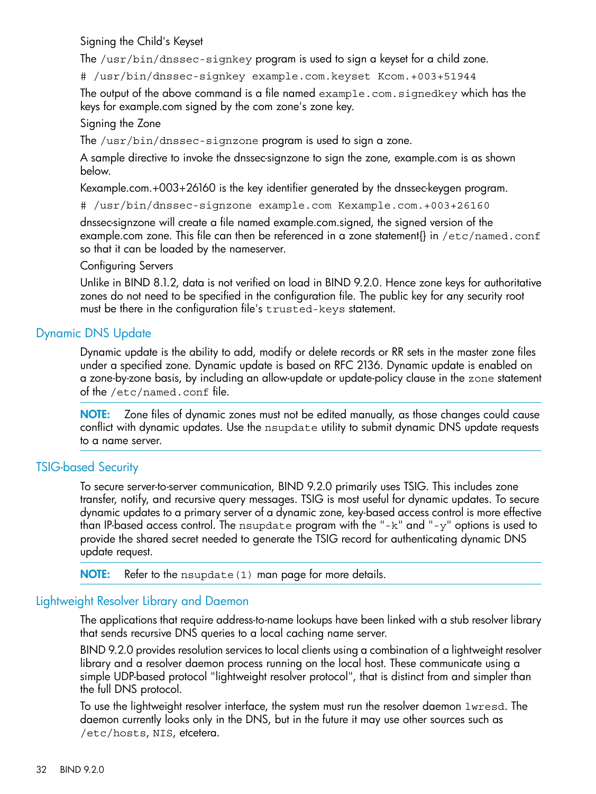Signing the Child's Keyset

The /usr/bin/dnssec-signkey program is used to sign a keyset for a child zone.

# /usr/bin/dnssec-signkey example.com.keyset Kcom.+003+51944

The output of the above command is a file named example.com.signedkey which has the keys for example.com signed by the com zone's zone key.

### Signing the Zone

The /usr/bin/dnssec-signzone program is used to sign a zone.

A sample directive to invoke the dnssec-signzone to sign the zone, example.com is as shown below.

Kexample.com.+003+26160 is the key identifier generated by the dnssec-keygen program.

# /usr/bin/dnssec-signzone example.com Kexample.com.+003+26160

dnssec-signzone will create a file named example.com.signed, the signed version of the example.com zone. This file can then be referenced in a zone statement{} in /etc/named.conf so that it can be loaded by the nameserver.

#### Configuring Servers

<span id="page-31-0"></span>Unlike in BIND 8.1.2, data is not verified on load in BIND 9.2.0. Hence zone keys for authoritative zones do not need to be specified in the configuration file. The public key for any security root must be there in the configuration file's trusted-keys statement.

## Dynamic DNS Update

Dynamic update is the ability to add, modify or delete records or RR sets in the master zone files under a specified zone. Dynamic update is based on RFC 2136. Dynamic update is enabled on a zone-by-zone basis, by including an allow-update or update-policy clause in the zone statement of the /etc/named.conf file.

<span id="page-31-1"></span>NOTE: Zone files of dynamic zones must not be edited manually, as those changes could cause conflict with dynamic updates. Use the nsupdate utility to submit dynamic DNS update requests to a name server.

## TSIG-based Security

To secure server-to-server communication, BIND 9.2.0 primarily uses TSIG. This includes zone transfer, notify, and recursive query messages. TSIG is most useful for dynamic updates. To secure dynamic updates to a primary server of a dynamic zone, key-based access control is more effective than IP-based access control. The nsupdate program with the "-k" and "-y" options is used to provide the shared secret needed to generate the TSIG record for authenticating dynamic DNS update request.

<span id="page-31-2"></span>NOTE: Refer to the nsupdate (1) man page for more details.

## Lightweight Resolver Library and Daemon

The applications that require address-to-name lookups have been linked with a stub resolver library that sends recursive DNS queries to a local caching name server.

BIND 9.2.0 provides resolution services to local clients using a combination of a lightweight resolver library and a resolver daemon process running on the local host. These communicate using a simple UDP-based protocol "lightweight resolver protocol", that is distinct from and simpler than the full DNS protocol.

To use the lightweight resolver interface, the system must run the resolver daemon lwresd. The daemon currently looks only in the DNS, but in the future it may use other sources such as /etc/hosts, NIS, etcetera.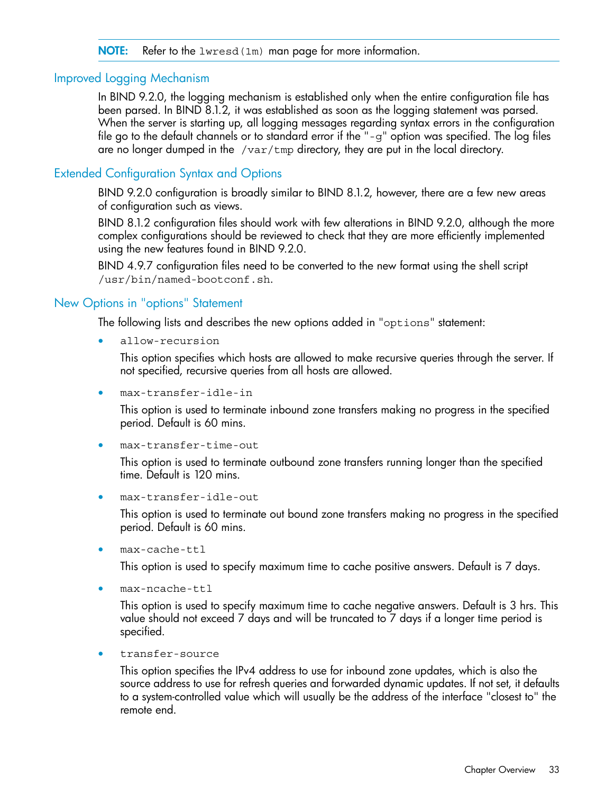#### <span id="page-32-0"></span>NOTE: Refer to the lwresd (1m) man page for more information.

#### Improved Logging Mechanism

In BIND 9.2.0, the logging mechanism is established only when the entire configuration file has been parsed. In BIND 8.1.2, it was established as soon as the logging statement was parsed. When the server is starting up, all logging messages regarding syntax errors in the configuration file go to the default channels or to standard error if the "-g" option was specified. The log files are no longer dumped in the  $/\text{var}/\text{tmp}$  directory, they are put in the local directory.

## <span id="page-32-1"></span>Extended Configuration Syntax and Options

BIND 9.2.0 configuration is broadly similar to BIND 8.1.2, however, there are a few new areas of configuration such as views.

BIND 8.1.2 configuration files should work with few alterations in BIND 9.2.0, although the more complex configurations should be reviewed to check that they are more efficiently implemented using the new features found in BIND 9.2.0.

<span id="page-32-2"></span>BIND 4.9.7 configuration files need to be converted to the new format using the shell script /usr/bin/named-bootconf.sh.

#### New Options in "options" Statement

The following lists and describes the new options added in "options" statement:

• allow-recursion

This option specifies which hosts are allowed to make recursive queries through the server. If not specified, recursive queries from all hosts are allowed.

• max-transfer-idle-in

This option is used to terminate inbound zone transfers making no progress in the specified period. Default is 60 mins.

• max-transfer-time-out

This option is used to terminate outbound zone transfers running longer than the specified time. Default is 120 mins.

• max-transfer-idle-out

This option is used to terminate out bound zone transfers making no progress in the specified period. Default is 60 mins.

 $max-cache-ttl$ 

This option is used to specify maximum time to cache positive answers. Default is 7 days.

• max-ncache-ttl

This option is used to specify maximum time to cache negative answers. Default is 3 hrs. This value should not exceed 7 days and will be truncated to 7 days if a longer time period is specified.

• transfer-source

This option specifies the IPv4 address to use for inbound zone updates, which is also the source address to use for refresh queries and forwarded dynamic updates. If not set, it defaults to a system-controlled value which will usually be the address of the interface "closest to" the remote end.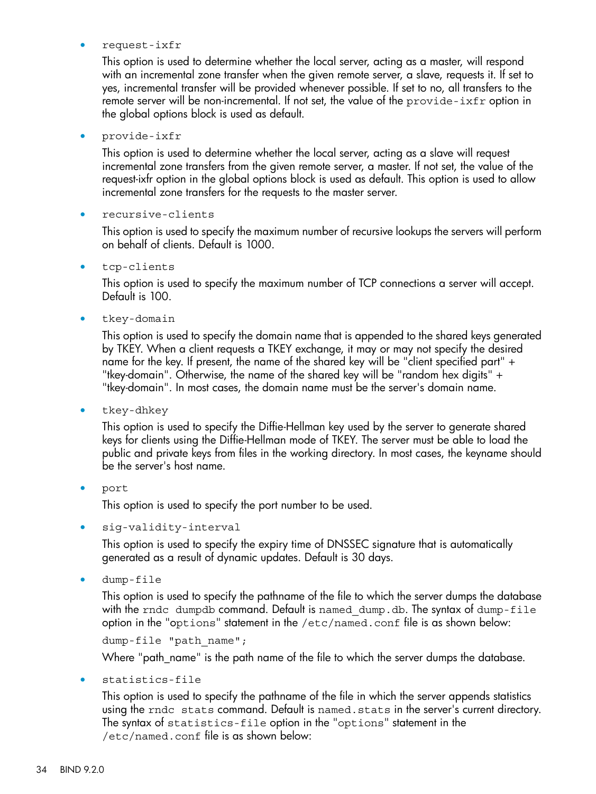#### • request-ixfr

This option is used to determine whether the local server, acting as a master, will respond with an incremental zone transfer when the given remote server, a slave, requests it. If set to yes, incremental transfer will be provided whenever possible. If set to no, all transfers to the remote server will be non-incremental. If not set, the value of the provide-ixfr option in the global options block is used as default.

#### • provide-ixfr

This option is used to determine whether the local server, acting as a slave will request incremental zone transfers from the given remote server, a master. If not set, the value of the request-ixfr option in the global options block is used as default. This option is used to allow incremental zone transfers for the requests to the master server.

#### • recursive-clients

This option is used to specify the maximum number of recursive lookups the servers will perform on behalf of clients. Default is 1000.

• tcp-clients

This option is used to specify the maximum number of TCP connections a server will accept. Default is 100.

tkey-domain

This option is used to specify the domain name that is appended to the shared keys generated by TKEY. When a client requests a TKEY exchange, it may or may not specify the desired name for the key. If present, the name of the shared key will be "client specified part" + "tkey-domain". Otherwise, the name of the shared key will be "random hex digits" + "tkey-domain". In most cases, the domain name must be the server's domain name.

• tkey-dhkey

This option is used to specify the Diffie-Hellman key used by the server to generate shared keys for clients using the Diffie-Hellman mode of TKEY. The server must be able to load the public and private keys from files in the working directory. In most cases, the keyname should be the server's host name.

#### • port

This option is used to specify the port number to be used.

sig-validity-interval

This option is used to specify the expiry time of DNSSEC signature that is automatically generated as a result of dynamic updates. Default is 30 days.

dump-file

This option is used to specify the pathname of the file to which the server dumps the database with the rndc dumpdb command. Default is named dump.db. The syntax of dump-file option in the "options" statement in the /etc/named.conf file is as shown below:

dump-file "path name";

Where "path\_name" is the path name of the file to which the server dumps the database.

• statistics-file

This option is used to specify the pathname of the file in which the server appends statistics using the rndc stats command. Default is named. stats in the server's current directory. The syntax of statistics-file option in the "options" statement in the /etc/named.conf file is as shown below: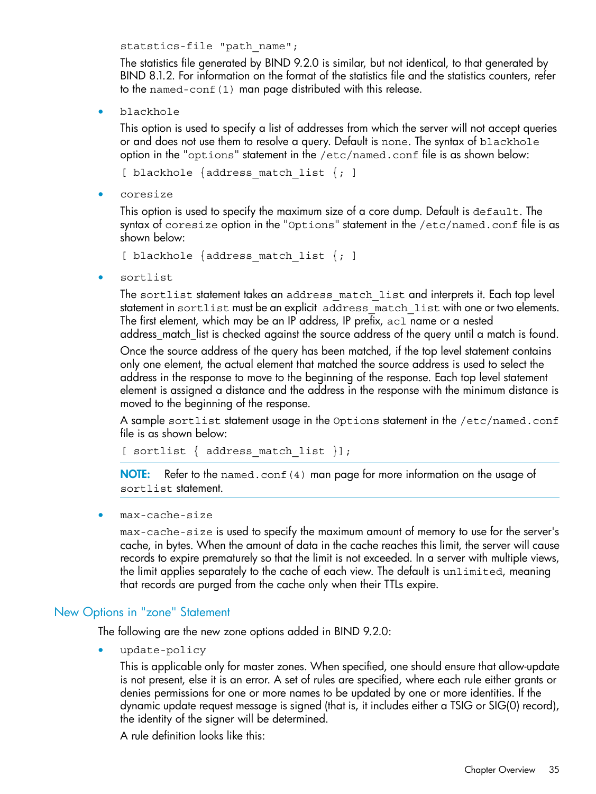statstics-file "path name";

The statistics file generated by BIND 9.2.0 is similar, but not identical, to that generated by BIND 8.1.2. For information on the format of the statistics file and the statistics counters, refer to the named-conf(1) man page distributed with this release.

• blackhole

This option is used to specify a list of addresses from which the server will not accept queries or and does not use them to resolve a query. Default is none. The syntax of blackhole option in the "options" statement in the /etc/named.conf file is as shown below:

[ blackhole  $\{$ address match list  $\{; \}$ 

• coresize

This option is used to specify the maximum size of a core dump. Default is default. The syntax of coresize option in the "Options" statement in the /etc/named.conf file is as shown below:

```
[ blackhole \{address match list \{; \}
```
• sortlist

The sortlist statement takes an address match list and interprets it. Each top level statement in sortlist must be an explicit address match list with one or two elements. The first element, which may be an IP address, IP prefix, acl name or a nested address\_match\_list is checked against the source address of the query until a match is found.

Once the source address of the query has been matched, if the top level statement contains only one element, the actual element that matched the source address is used to select the address in the response to move to the beginning of the response. Each top level statement element is assigned a distance and the address in the response with the minimum distance is moved to the beginning of the response.

A sample sortlist statement usage in the Options statement in the /etc/named.conf file is as shown below:

[ sortlist { address\_match\_list }];

NOTE: Refer to the named.conf(4) man page for more information on the usage of sortlist statement.

<span id="page-34-0"></span>• max-cache-size

max-cache-size is used to specify the maximum amount of memory to use for the server's cache, in bytes. When the amount of data in the cache reaches this limit, the server will cause records to expire prematurely so that the limit is not exceeded. In a server with multiple views, the limit applies separately to the cache of each view. The default is unlimited, meaning that records are purged from the cache only when their TTLs expire.

#### New Options in "zone" Statement

The following are the new zone options added in BIND 9.2.0:

• update-policy

This is applicable only for master zones. When specified, one should ensure that allow-update is not present, else it is an error. A set of rules are specified, where each rule either grants or denies permissions for one or more names to be updated by one or more identities. If the dynamic update request message is signed (that is, it includes either a TSIG or SIG(0) record), the identity of the signer will be determined.

A rule definition looks like this: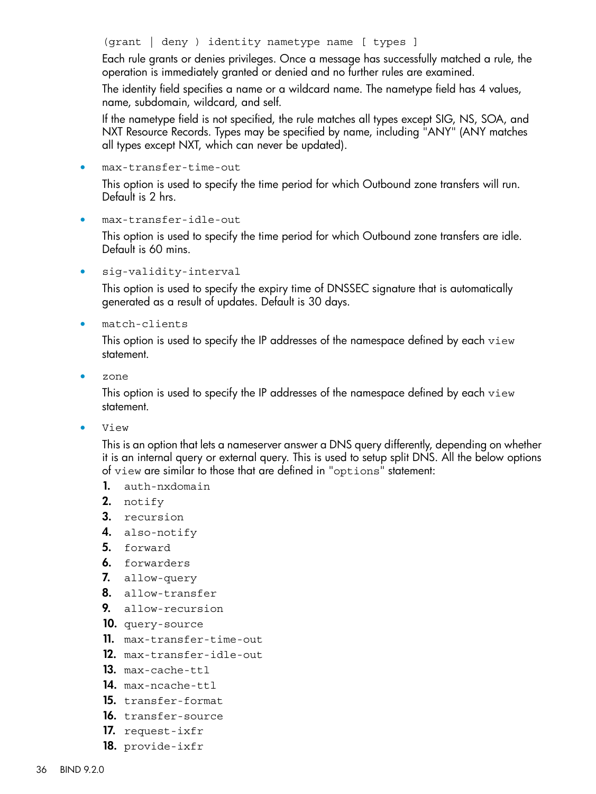(grant | deny ) identity nametype name [ types ]

Each rule grants or denies privileges. Once a message has successfully matched a rule, the operation is immediately granted or denied and no further rules are examined.

The identity field specifies a name or a wildcard name. The nametype field has 4 values, name, subdomain, wildcard, and self.

If the nametype field is not specified, the rule matches all types except SIG, NS, SOA, and NXT Resource Records. Types may be specified by name, including "ANY" (ANY matches all types except NXT, which can never be updated).

• max-transfer-time-out

This option is used to specify the time period for which Outbound zone transfers will run. Default is 2 hrs.

• max-transfer-idle-out

This option is used to specify the time period for which Outbound zone transfers are idle. Default is 60 mins.

siq-validity-interval

This option is used to specify the expiry time of DNSSEC signature that is automatically generated as a result of updates. Default is 30 days.

• match-clients

This option is used to specify the IP addresses of the namespace defined by each view statement.

• zone

This option is used to specify the IP addresses of the namespace defined by each view statement.

• View

This is an option that lets a nameserver answer a DNS query differently, depending on whether it is an internal query or external query. This is used to setup split DNS. All the below options of view are similar to those that are defined in "options" statement:

- 1. auth-nxdomain
- 2. notify
- 3. recursion
- 4. also-notify
- **5.** forward
- 6. forwarders
- 7. allow-query
- 8. allow-transfer
- 9. allow-recursion
- 10. query-source
- 11. max-transfer-time-out
- 12. max-transfer-idle-out
- 13. max-cache-ttl
- 14. max-ncache-ttl
- 15. transfer-format
- 16. transfer-source
- 17. request-ixfr
- 18. provide-ixfr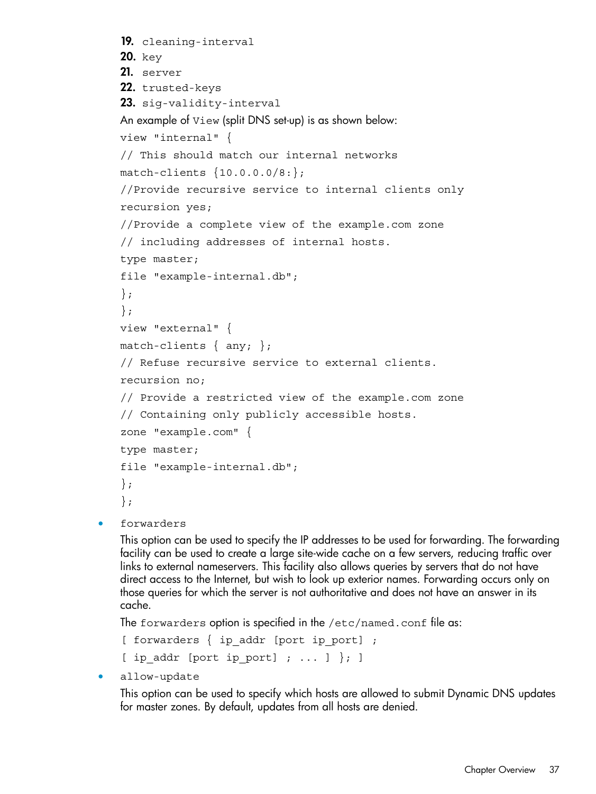```
19. cleaning-interval
20. key
21. server
22. trusted-keys
23. sig-validity-interval
An example of View (split DNS set-up) is as shown below:
view "internal" {
// This should match our internal networks
match-clients {10.0.0.0/8:};
//Provide recursive service to internal clients only
recursion yes;
//Provide a complete view of the example.com zone
// including addresses of internal hosts.
type master;
file "example-internal.db";
};
};
view "external" {
match-clients \{ any; \};// Refuse recursive service to external clients.
recursion no;
// Provide a restricted view of the example.com zone
// Containing only publicly accessible hosts.
zone "example.com" {
type master;
file "example-internal.db";
};
};
```
forwarders

This option can be used to specify the IP addresses to be used for forwarding. The forwarding facility can be used to create a large site-wide cache on a few servers, reducing traffic over links to external nameservers. This facility also allows queries by servers that do not have direct access to the Internet, but wish to look up exterior names. Forwarding occurs only on those queries for which the server is not authoritative and does not have an answer in its cache.

The forwarders option is specified in the /etc/named.conf file as:

[ forwarders { ip addr [port ip port] ; [ ip\_addr [port ip\_port] ; ... ]  $\}$ ; ]

allow-update

This option can be used to specify which hosts are allowed to submit Dynamic DNS updates for master zones. By default, updates from all hosts are denied.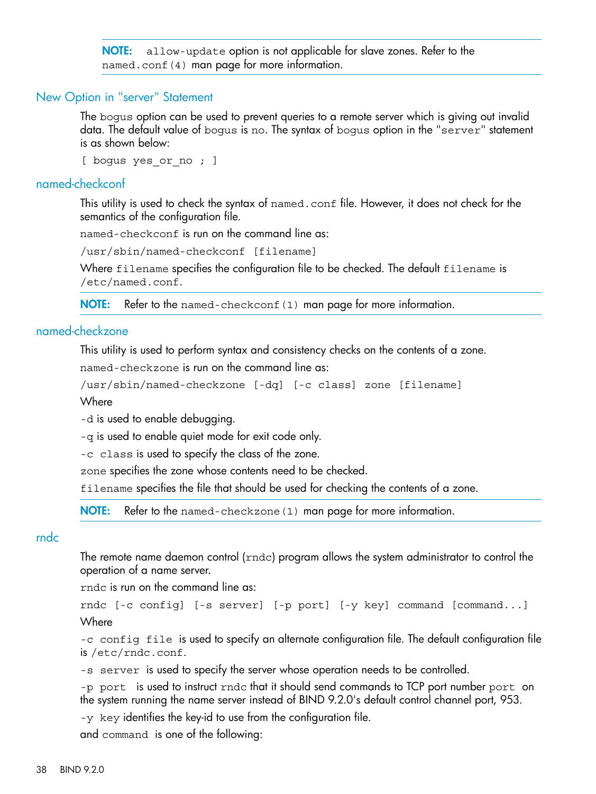**NOTE:** allow-update option is not applicable for slave zones. Refer to the named.conf(4) man page for more information.

#### New Option in "server" Statement

<span id="page-37-0"></span>The bogus option can be used to prevent queries to a remote server which is giving out invalid data. The default value of bogus is no. The syntax of bogus option in the "server" statement is as shown below:

<span id="page-37-1"></span>[ bogus yes or no ; ]

#### named-checkconf

This utility is used to check the syntax of named.conf file. However, it does not check for the semantics of the configuration file.

named-checkconf is run on the command line as:

/usr/sbin/named-checkconf [filename]

Where filename specifies the configuration file to be checked. The default filename is /etc/named.conf.

<span id="page-37-2"></span>NOTE: Refer to the named-checkconf (1) man page for more information.

## named-checkzone

This utility is used to perform syntax and consistency checks on the contents of a zone.

named-checkzone is run on the command line as:

```
/usr/sbin/named-checkzone [-dq] [-c class] zone [filename]
```
**Where** 

-d is used to enable debugging.

-q is used to enable quiet mode for exit code only.

-c class is used to specify the class of the zone.

zone specifies the zone whose contents need to be checked.

<span id="page-37-3"></span>filename specifies the file that should be used for checking the contents of a zone.

**NOTE:** Refer to the named-checkzone (1) man page for more information.

#### rndc

The remote name daemon control ( $\text{rnd}$ ) program allows the system administrator to control the operation of a name server.

rndc is run on the command line as:

rndc [-c config] [-s server] [-p port] [-y key] command [command...] **Where** 

-c config file is used to specify an alternate configuration file. The default configuration file is /etc/rndc.conf.

-s server is used to specify the server whose operation needs to be controlled.

-p port is used to instruct rnde that it should send commands to TCP port number port on the system running the name server instead of BIND 9.2.0's default control channel port, 953.

-y key identifies the key-id to use from the configuration file.

and command is one of the following: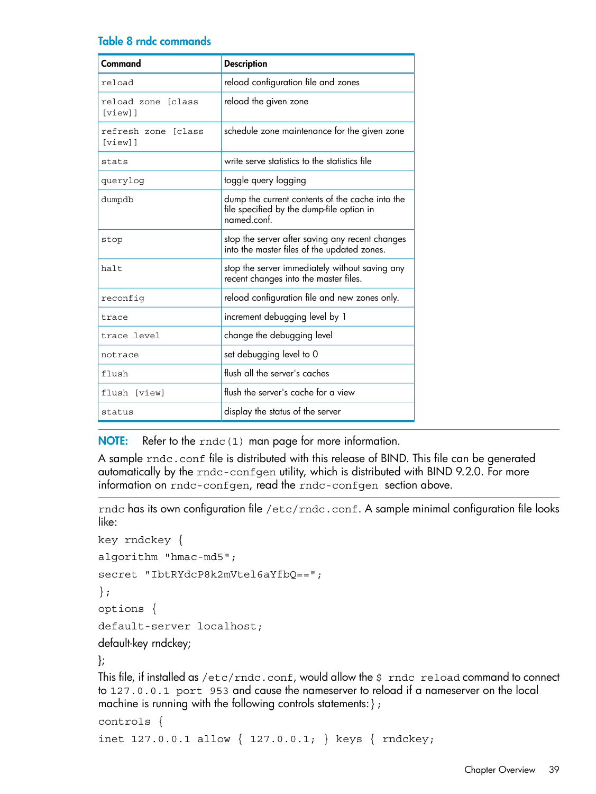#### Table 8 rndc commands

| Command                           | <b>Description</b>                                                                                          |
|-----------------------------------|-------------------------------------------------------------------------------------------------------------|
| reload                            | reload configuration file and zones                                                                         |
| reload zone [class<br>[view]      | reload the given zone                                                                                       |
| refresh zone [class<br>$[view]$ ] | schedule zone maintenance for the given zone                                                                |
| stats                             | write serve statistics to the statistics file                                                               |
| querylog                          | toggle query logging                                                                                        |
| dumpdb                            | dump the current contents of the cache into the<br>file specified by the dump-file option in<br>named.conf. |
| stop                              | stop the server after saving any recent changes<br>into the master files of the updated zones.              |
| halt                              | stop the server immediately without saving any<br>recent changes into the master files.                     |
| reconfiq                          | reload configuration file and new zones only.                                                               |
| trace                             | increment debugging level by 1                                                                              |
| trace level                       | change the debugging level                                                                                  |
| notrace                           | set debugging level to 0                                                                                    |
| flush                             | flush all the server's caches                                                                               |
| flush [view]                      | flush the server's cache for a view                                                                         |
| status                            | display the status of the server                                                                            |

NOTE: Refer to the  $\text{rndc}(1)$  man page for more information.

A sample rndc.conf file is distributed with this release of BIND. This file can be generated automatically by the rndc-confgen utility, which is distributed with BIND 9.2.0. For more information on rndc-confgen, read the rndc-confgen section above.

rndc has its own configuration file /etc/rndc.conf. A sample minimal configuration file looks like:

```
key rndckey {
algorithm "hmac-md5";
secret "IbtRYdcP8k2mVtel6aYfbQ==";
};
options {
default-server localhost;
default-key rndckey;
};
```
This file, if installed as /etc/rndc.conf, would allow the \$ rndc reload command to connect to 127.0.0.1 port 953 and cause the nameserver to reload if a nameserver on the local machine is running with the following controls statements:};

```
controls {
inet 127.0.0.1 allow { 127.0.0.1; } keys { rndckey;
```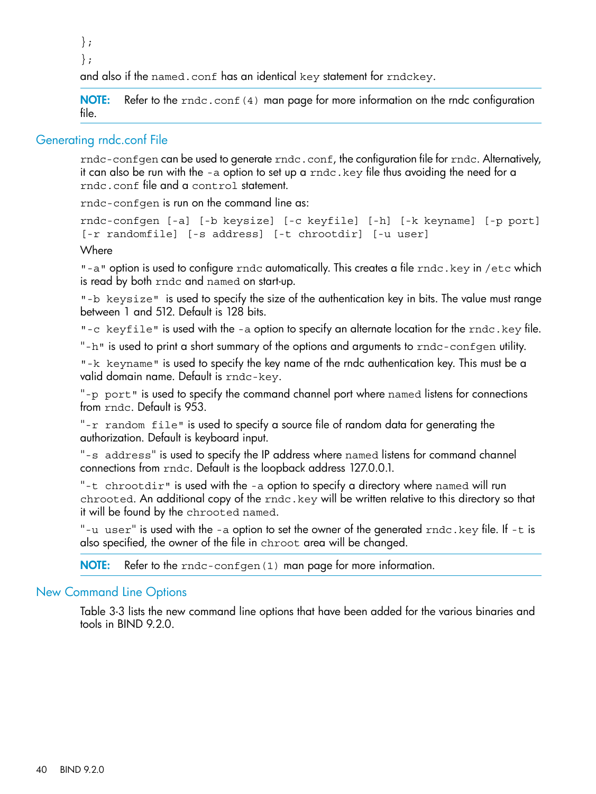};

};

and also if the named.conf has an identical key statement for rndckey.

<span id="page-39-0"></span>NOTE: Refer to the rndc.conf(4) man page for more information on the rndc configuration file.

## Generating rndc.conf File

rndc-confgen can be used to generate rndc.conf, the configuration file for rndc. Alternatively, it can also be run with the -a option to set up a rndc.key file thus avoiding the need for a rndc.conf file and a control statement.

rndc-confgen is run on the command line as:

```
rndc-confgen [-a] [-b keysize] [-c keyfile] [-h] [-k keyname] [-p port]
[-r randomfile] [-s address] [-t chrootdir] [-u user]
Where
```
"-a" option is used to configure rndc automatically. This creates a file rndc. key in /etc which is read by both rndc and named on start-up.

"-b keysize" is used to specify the size of the authentication key in bits. The value must range between 1 and 512. Default is 128 bits.

"-c keyfile" is used with the -a option to specify an alternate location for the rndc.key file.

"-h" is used to print a short summary of the options and arguments to  $r$ ndc-confgen utility.

"-k keyname" is used to specify the key name of the rndc authentication key. This must be a valid domain name. Default is rndc-key.

"-p port" is used to specify the command channel port where named listens for connections from rndc. Default is 953.

"-r random file" is used to specify a source file of random data for generating the authorization. Default is keyboard input.

"-s address" is used to specify the IP address where named listens for command channel connections from rndc. Default is the loopback address 127.0.0.1.

"-t chrootdir" is used with the -a option to specify a directory where named will run chrooted. An additional copy of the rndc.key will be written relative to this directory so that it will be found by the chrooted named.

<span id="page-39-1"></span>"-u user" is used with the -a option to set the owner of the generated  $r$ ndc.key file. If -t is also specified, the owner of the file in chroot area will be changed.

NOTE: Refer to the rndc-confgen(1) man page for more information.

## New Command Line Options

Table 3-3 lists the new command line options that have been added for the various binaries and tools in BIND 9.2.0.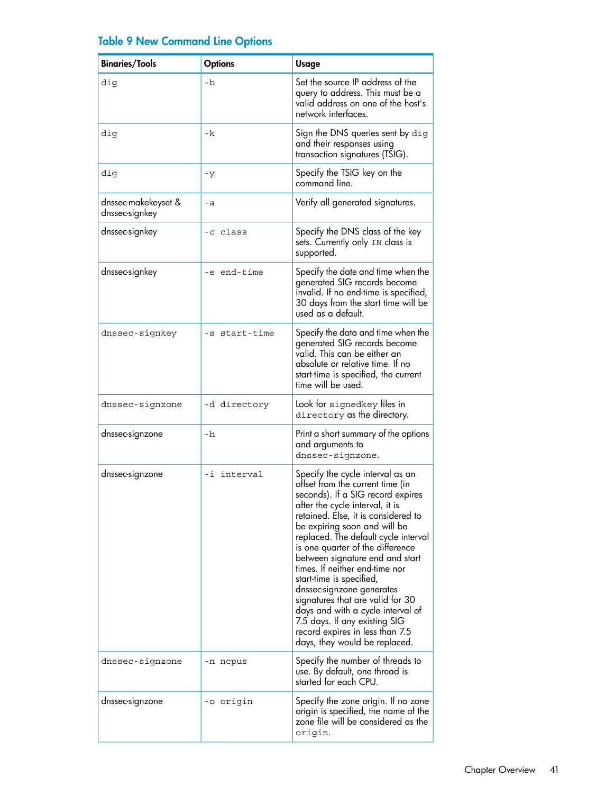|  |  | <b>Table 9 New Command Line Options</b> |  |  |
|--|--|-----------------------------------------|--|--|
|  |  |                                         |  |  |

| <b>Binaries/Tools</b>                 | <b>Options</b> | <b>Usage</b>                                                                                                                                                                                                                                                                                                                                                                                                                                                                                                                                                                                                |
|---------------------------------------|----------------|-------------------------------------------------------------------------------------------------------------------------------------------------------------------------------------------------------------------------------------------------------------------------------------------------------------------------------------------------------------------------------------------------------------------------------------------------------------------------------------------------------------------------------------------------------------------------------------------------------------|
| dig                                   | -b             | Set the source IP address of the<br>query to address. This must be a<br>valid address on one of the host's<br>network interfaces.                                                                                                                                                                                                                                                                                                                                                                                                                                                                           |
| dig                                   | -k             | Sign the DNS queries sent by dig<br>and their responses using<br>transaction signatures (TSIG).                                                                                                                                                                                                                                                                                                                                                                                                                                                                                                             |
| dig                                   | $-y$           | Specify the TSIG key on the<br>command line.                                                                                                                                                                                                                                                                                                                                                                                                                                                                                                                                                                |
| dnssec-makekeyset &<br>dnssec-signkey | $-a$           | Verify all generated signatures.                                                                                                                                                                                                                                                                                                                                                                                                                                                                                                                                                                            |
| dnssec-signkey                        | -c class       | Specify the DNS class of the key<br>sets. Currently only IN class is<br>supported.                                                                                                                                                                                                                                                                                                                                                                                                                                                                                                                          |
| dnssec-signkey                        | -e end-time    | Specify the date and time when the<br>generated SIG records become<br>invalid. If no end-time is specified,<br>30 days from the start time will be<br>used as a default.                                                                                                                                                                                                                                                                                                                                                                                                                                    |
| dnssec-signkey                        | -s start-time  | Specify the data and time when the<br>generated SIG records become<br>valid. This can be either an<br>absolute or relative time. If no<br>start-time is specified, the current<br>time will be used.                                                                                                                                                                                                                                                                                                                                                                                                        |
| dnssec-signzone                       | -d directory   | Look for signedkey files in<br>directory as the directory.                                                                                                                                                                                                                                                                                                                                                                                                                                                                                                                                                  |
| dnssec-signzone                       | -h             | Print a short summary of the options<br>and arguments to<br>dnssec-signzone.                                                                                                                                                                                                                                                                                                                                                                                                                                                                                                                                |
| dnssec-signzone                       | -i interval    | Specify the cycle interval as an<br>offset from the current time (in<br>seconds). If a SIG record expires<br>after the cycle interval, it is<br>retained. Else, it is considered to<br>be expiring soon and will be<br>replaced. The default cycle interval<br>is one quarter of the difference<br>between signature end and start<br>times. If neither end-time nor<br>start-time is specitied,<br>dnssec-signzone generates<br>signatures that are valid for 30<br>days and with a cycle interval of<br>7.5 days. If any existing SIG<br>record expires in less than 7.5<br>days, they would be replaced. |
| dnssec-signzone                       | -n ncpus       | Specify the number of threads to<br>use. By default, one thread is<br>started for each CPU.                                                                                                                                                                                                                                                                                                                                                                                                                                                                                                                 |
| dnssec-signzone                       | -o origin      | Specify the zone origin. If no zone<br>origin is specified, the name of the<br>zone file will be considered as the<br>origin.                                                                                                                                                                                                                                                                                                                                                                                                                                                                               |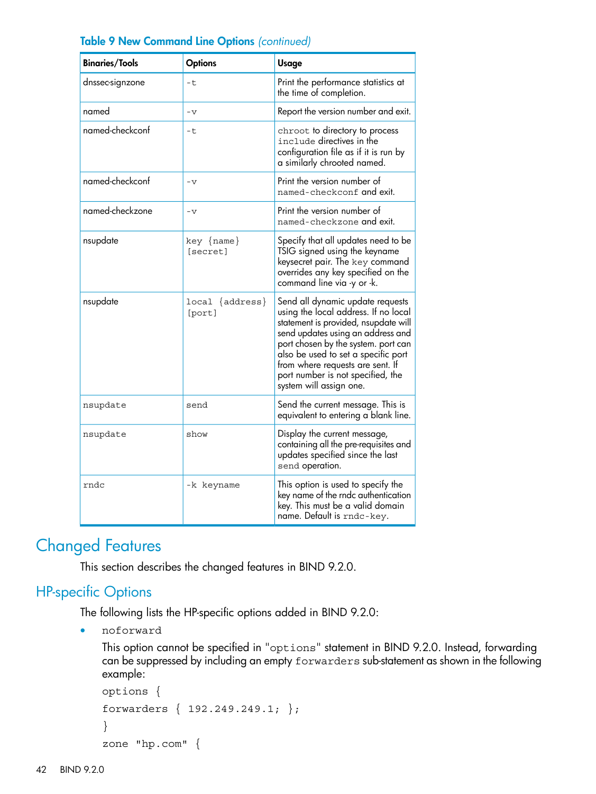| <b>Binaries/Tools</b> | <b>Options</b>             | <b>Usage</b>                                                                                                                                                                                                                                                                                                                            |
|-----------------------|----------------------------|-----------------------------------------------------------------------------------------------------------------------------------------------------------------------------------------------------------------------------------------------------------------------------------------------------------------------------------------|
| dnssec-signzone       | $-t$                       | Print the performance statistics at<br>the time of completion.                                                                                                                                                                                                                                                                          |
| named                 | $-\nabla$                  | Report the version number and exit.                                                                                                                                                                                                                                                                                                     |
| named-checkconf       | -t                         | chroot to directory to process<br>include directives in the<br>configuration file as if it is run by<br>a similarly chrooted named.                                                                                                                                                                                                     |
| named-checkconf       | $-v$                       | Print the version number of<br>named-checkconf and exit.                                                                                                                                                                                                                                                                                |
| named-checkzone       | $-\nabla$                  | Print the version number of<br>named-checkzone and exit.                                                                                                                                                                                                                                                                                |
| nsupdate              | $key \{name\}$<br>[secret] | Specify that all updates need to be<br>TSIG signed using the keyname<br>keysecret pair. The key command<br>overrides any key specified on the<br>command line via -y or -k.                                                                                                                                                             |
| nsupdate              | local {address}<br>[port]  | Send all dynamic update requests<br>using the local address. If no local<br>statement is provided, nsupdate will<br>send updates using an address and<br>port chosen by the system. port can<br>also be used to set a specific port<br>from where requests are sent. If<br>port number is not specified, the<br>system will assign one. |
| nsupdate              | send                       | Send the current message. This is<br>equivalent to entering a blank line.                                                                                                                                                                                                                                                               |
| nsupdate              | show                       | Display the current message,<br>containing all the pre-requisites and<br>updates specified since the last<br>send operation.                                                                                                                                                                                                            |
| rndc                  | -k keyname                 | This option is used to specify the<br>key name of the rndc authentication<br>key. This must be a valid domain<br>name. Default is rndc-key.                                                                                                                                                                                             |

## Table 9 New Command Line Options *(continued)*

# <span id="page-41-1"></span><span id="page-41-0"></span>Changed Features

This section describes the changed features in BIND 9.2.0.

## HP-specific Options

The following lists the HP-specific options added in BIND 9.2.0:

• noforward

```
This option cannot be specified in "options" statement in BIND 9.2.0. Instead, forwarding
can be suppressed by including an empty forwarders sub-statement as shown in the following
example:
```

```
options {
forwarders { 192.249.249.1; };
}
zone "hp.com" {
```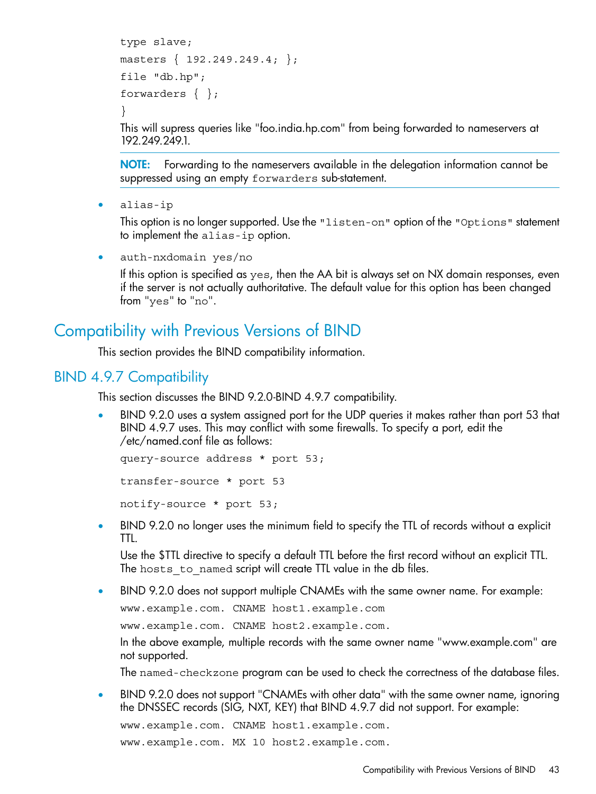```
type slave;
masters \{ 192.249.249.4; \};
file "db.hp";
forwarders { };
}
```
This will supress queries like "foo.india.hp.com" from being forwarded to nameservers at 192.249.249.1.

NOTE: Forwarding to the nameservers available in the delegation information cannot be suppressed using an empty forwarders sub-statement.

• alias-ip

This option is no longer supported. Use the "listen-on" option of the "Options" statement to implement the alias-ip option.

• auth-nxdomain yes/no

<span id="page-42-0"></span>If this option is specified as yes, then the AA bit is always set on NX domain responses, even if the server is not actually authoritative. The default value for this option has been changed from "yes" to "no".

# Compatibility with Previous Versions of BIND

<span id="page-42-1"></span>This section provides the BIND compatibility information.

## BIND 4.9.7 Compatibility

This section discusses the BIND 9.2.0-BIND 4.9.7 compatibility.

• BIND 9.2.0 uses a system assigned port for the UDP queries it makes rather than port 53 that BIND 4.9.7 uses. This may conflict with some firewalls. To specify a port, edit the /etc/named.conf file as follows:

```
query-source address * port 53;
transfer-source * port 53
notify-source * port 53;
```
• BIND 9.2.0 no longer uses the minimum field to specify the TTL of records without a explicit TTL.

Use the \$TTL directive to specify a default TTL before the first record without an explicit TTL. The hosts to named script will create TTL value in the db files.

• BIND 9.2.0 does not support multiple CNAMEs with the same owner name. For example:

www.example.com. CNAME host1.example.com

www.example.com. CNAME host2.example.com.

In the above example, multiple records with the same owner name "www.example.com" are not supported.

The named-checkzone program can be used to check the correctness of the database files.

• BIND 9.2.0 does not support "CNAMEs with other data" with the same owner name, ignoring the DNSSEC records (SIG, NXT, KEY) that BIND 4.9.7 did not support. For example:

www.example.com. CNAME host1.example.com.

www.example.com. MX 10 host2.example.com.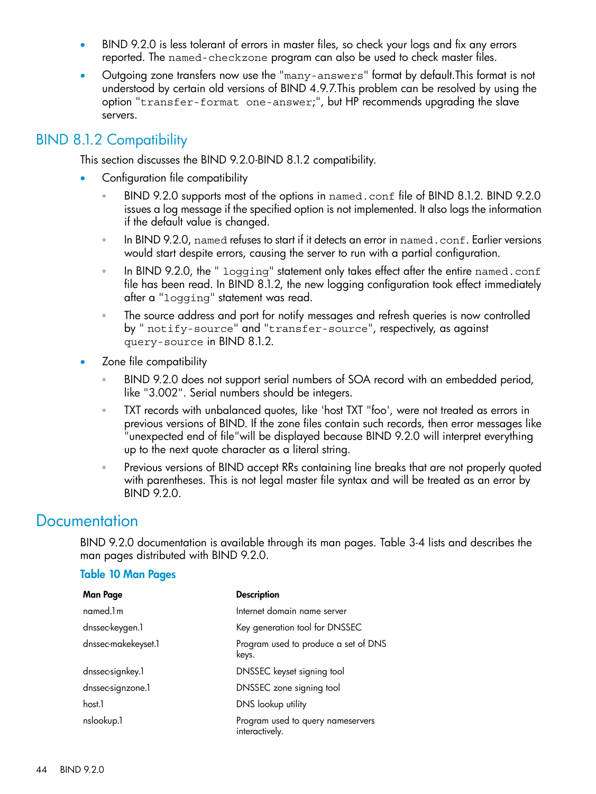- BIND 9.2.0 is less tolerant of errors in master files, so check your logs and fix any errors reported. The named-checkzone program can also be used to check master files.
- Outgoing zone transfers now use the "many-answers" format by default.This format is not understood by certain old versions of BIND 4.9.7.This problem can be resolved by using the option "transfer-format one-answer;", but HP recommends upgrading the slave servers.

## <span id="page-43-0"></span>BIND 8.1.2 Compatibility

This section discusses the BIND 9.2.0-BIND 8.1.2 compatibility.

- Configuration file compatibility
	- BIND 9.2.0 supports most of the options in named.conf file of BIND 8.1.2. BIND 9.2.0 issues a log message if the specified option is not implemented. It also logs the information if the default value is changed. ◦
	- In BIND 9.2.0, named refuses to start if it detects an error in named.conf. Earlier versions would start despite errors, causing the server to run with a partial configuration.
	- In BIND 9.2.0, the " logging" statement only takes effect after the entire named.conf file has been read. In BIND 8.1.2, the new logging configuration took effect immediately after a "logging" statement was read.
	- The source address and port for notify messages and refresh queries is now controlled by " notify-source" and "transfer-source", respectively, as against query-source in BIND 8.1.2.
- Zone file compatibility
	- BIND 9.2.0 does not support serial numbers of SOA record with an embedded period, like "3.002". Serial numbers should be integers. ◦
	- TXT records with unbalanced quotes, like 'host TXT "foo', were not treated as errors in previous versions of BIND. If the zone files contain such records, then error messages like "unexpected end of file"will be displayed because BIND 9.2.0 will interpret everything up to the next quote character as a literal string.
	- Previous versions of BIND accept RRs containing line breaks that are not properly quoted with parentheses. This is not legal master file syntax and will be treated as an error by BIND 9.2.0.

# <span id="page-43-1"></span>**Documentation**

BIND 9.2.0 documentation is available through its man pages. Table 3-4 lists and describes the man pages distributed with BIND 9.2.0.

#### Table 10 Man Pages

| <b>Man Page</b>     | <b>Description</b>                                  |
|---------------------|-----------------------------------------------------|
| named.1m            | Internet domain name server                         |
| dnssec-keygen.1     | Key generation tool for DNSSEC                      |
| dnssec-makekeyset.1 | Program used to produce a set of DNS<br>keys.       |
| dnssec-signkey.1    | DNSSEC keyset signing tool                          |
| dnssec-signzone.1   | DNSSEC zone signing tool                            |
| host.1              | DNS lookup utility                                  |
| nslookup.1          | Program used to query nameservers<br>interactively. |